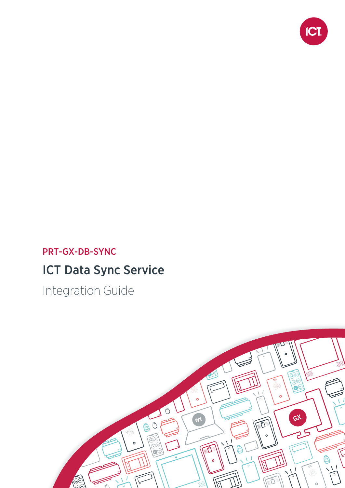

## PRT-GX-DB-SYNC

# ICT Data Sync Service

Integration Guide

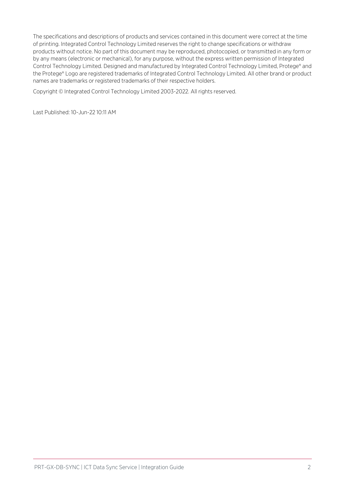The specifications and descriptions of products and services contained in this document were correct at the time of printing. Integrated Control Technology Limited reserves the right to change specifications or withdraw products without notice. No part of this document may be reproduced, photocopied, or transmitted in any form or by any means (electronic or mechanical), for any purpose, without the express written permission of Integrated Control Technology Limited. Designed and manufactured by Integrated Control Technology Limited, Protege® and the Protege® Logo are registered trademarks of Integrated Control Technology Limited. All other brand or product names are trademarks or registered trademarks of their respective holders.

Copyright © Integrated Control Technology Limited 2003-2022. All rights reserved.

Last Published: 10-Jun-22 10:11 AM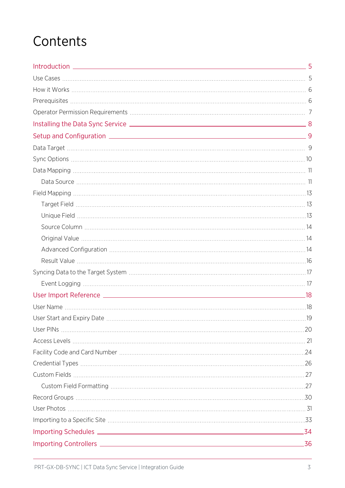# **Contents**

| 34  |
|-----|
| _36 |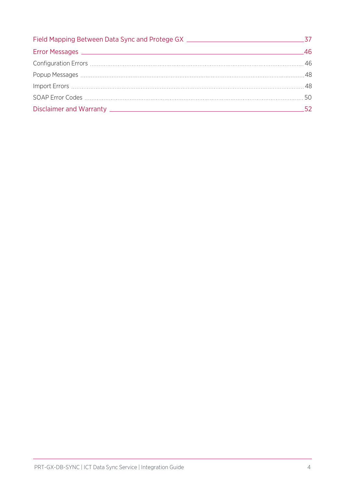| 52 |
|----|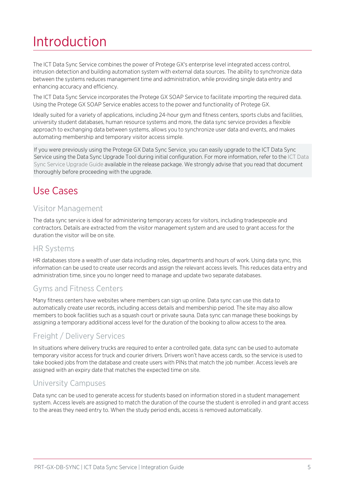# <span id="page-4-0"></span>Introduction

The ICT Data Sync Service combines the power of Protege GX's enterprise level integrated access control, intrusion detection and building automation system with external data sources. The ability to synchronize data between the systems reduces management time and administration, while providing single data entry and enhancing accuracy and efficiency.

The ICT Data Sync Service incorporates the Protege GX SOAP Service to facilitate importing the required data. Using the Protege GX SOAP Service enables access to the power and functionality of Protege GX.

Ideally suited for a variety of applications, including 24-hour gym and fitness centers, sports clubs and facilities, university student databases, human resource systems and more, the data sync service provides a flexible approach to exchanging data between systems, allows you to synchronize user data and events, and makes automating membership and temporary visitor access simple.

If you were previously using the Protege GX Data Sync Service, you can easily upgrade to the ICT Data Sync Service using the Data Sync Upgrade Tool during initial configuration. For more information, refer to the ICT Data Sync Service Upgrade Guide available in the release package. We strongly advise that you read that document thoroughly before proceeding with the upgrade.

## <span id="page-4-1"></span>Use Cases

### Visitor Management

The data sync service is ideal for administering temporary access for visitors, including tradespeople and contractors. Details are extracted from the visitor management system and are used to grant access for the duration the visitor will be on site.

### HR Systems

HR databases store a wealth of user data including roles, departments and hours of work. Using data sync, this information can be used to create user records and assign the relevant access levels. This reduces data entry and administration time, since you no longer need to manage and update two separate databases.

### Gyms and Fitness Centers

Many fitness centers have websites where members can sign up online. Data sync can use this data to automatically create user records, including access details and membership period. The site may also allow members to book facilities such as a squash court or private sauna. Data sync can manage these bookings by assigning a temporary additional access level for the duration of the booking to allow access to the area.

### Freight / Delivery Services

In situations where delivery trucks are required to enter a controlled gate, data sync can be used to automate temporary visitor access for truck and courier drivers. Drivers won't have access cards, so the service is used to take booked jobs from the database and create users with PINs that match the job number. Access levels are assigned with an expiry date that matches the expected time on site.

### University Campuses

Data sync can be used to generate access for students based on information stored in a student management system. Access levels are assigned to match the duration of the course the student is enrolled in and grant access to the areas they need entry to. When the study period ends, access is removed automatically.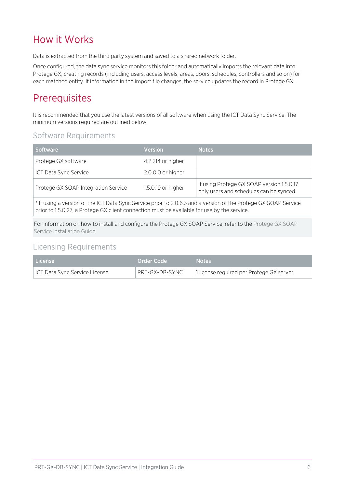## <span id="page-5-0"></span>How it Works

Data is extracted from the third party system and saved to a shared network folder.

Once configured, the data sync service monitors this folder and automatically imports the relevant data into Protege GX, creating records (including users, access levels, areas, doors, schedules, controllers and so on) for each matched entity. If information in the import file changes, the service updates the record in Protege GX.

## <span id="page-5-1"></span>**Prerequisites**

It is recommended that you use the latest versions of all software when using the ICT Data Sync Service. The minimum versions required are outlined below.

### Software Requirements

| 4.2.214 or higher                                                                                          |  |
|------------------------------------------------------------------------------------------------------------|--|
|                                                                                                            |  |
| 2.0.0.0 or higher                                                                                          |  |
| If using Protege GX SOAP version 1.5.0.17<br>1.5.0.19 or higher<br>only users and schedules can be synced. |  |
|                                                                                                            |  |

\* If using a version of the ICT Data Sync Service prior to 2.0.6.3 and a version of the Protege GX SOAP Service prior to 1.5.0.27, a Protege GX client connection must be available for use by the service.

For information on how to install and configure the Protege GX SOAP Service, refer to the Protege GX SOAP Service Installation Guide

### Licensing Requirements

| License                       | l Order Code ' | Notes                                    |
|-------------------------------|----------------|------------------------------------------|
| ICT Data Sync Service License | PRT-GX-DB-SYNC | 1 license required per Protege GX server |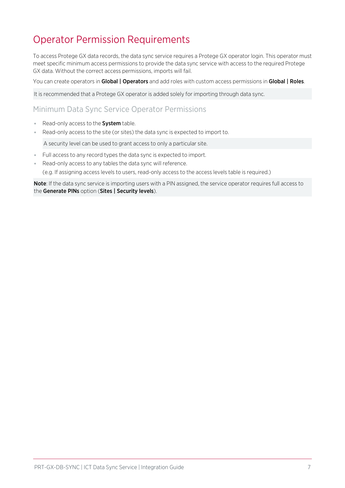## <span id="page-6-0"></span>Operator Permission Requirements

To access Protege GX data records, the data sync service requires a Protege GX operator login. This operator must meet specific minimum access permissions to provide the data sync service with access to the required Protege GX data. Without the correct access permissions, imports will fail.

You can create operators in Global | Operators and add roles with custom access permissions in Global | Roles.

It is recommended that a Protege GX operator is added solely for importing through data sync.

### Minimum Data Sync Service Operator Permissions

- Read-only access to the **System** table.
- ⦁ Read-only access to the site (or sites) the data sync is expected to import to.

A security level can be used to grant access to only a particular site.

- ⦁ Full access to any record types the data sync is expected to import.
- ⦁ Read-only access to any tables the data sync will reference.

(e.g. If assigning access levels to users, read-only access to the access levels table is required.)

Note: If the data sync service is importing users with a PIN assigned, the service operator requires full access to the Generate PINs option (Sites | Security levels).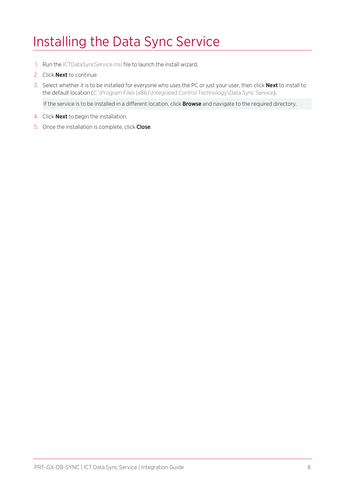# <span id="page-7-0"></span>Installing the Data Sync Service

- 1. Run the ICTDataSyncService.msi file to launch the install wizard.
- 2. Click Next to continue.
- 3. Select whether it is to be installed for everyone who uses the PC or just your user, then click Next to install to the default location (C:\Program Files (x86)\Integrated Control Technology\Data Sync Service).

If the service is to be installed in a different location, click **Browse** and navigate to the required directory.

- 4. Click Next to begin the installation.
- 5. Once the installation is complete, click Close.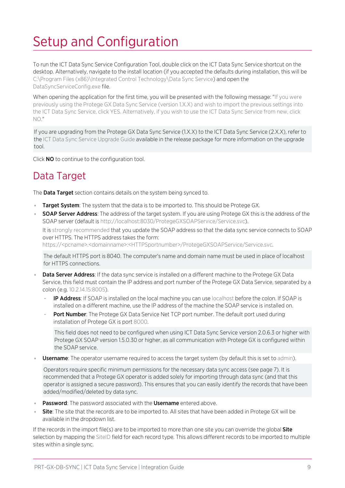# <span id="page-8-0"></span>Setup and Configuration

To run the ICT Data Sync Service Configuration Tool, double click on the ICT Data Sync Service shortcut on the desktop. Alternatively, navigate to the install location (if you accepted the defaults during installation, this will be C:\Program Files (x86)\Integrated Control Technology\Data Sync Service) and open the DataSyncServiceConfig.exe file.

When opening the application for the first time, you will be presented with the following message: "If you were previously using the Protege GX Data Sync Service (version 1.X.X) and wish to import the previous settings into the ICT Data Sync Service, click YES. Alternatively, if you wish to use the ICT Data Sync Service from new, click  $N$ <sup>"</sup>

If you are upgrading from the Protege GX Data Sync Service (1.X.X) to the ICT Data Sync Service (2.X.X), refer to the ICT Data Sync Service Upgrade Guide available in the release package for more information on the upgrade tool.

<span id="page-8-1"></span>Click **NO** to continue to the configuration tool.

## Data Target

The **Data Target** section contains details on the system being synced to.

- **Target System**: The system that the data is to be imported to. This should be Protege GX.
- **SOAP Server Address:** The address of the target system. If you are using Protege GX this is the address of the SOAP server (default is http://localhost:8030/ProtegeGXSOAPService/Service.svc).

It is strongly recommended that you update the SOAP address so that the data sync service connects to SOAP over HTTPS. The HTTPS address takes the form:

https://<pcname>.<domainname>:<HTTPSportnumber>/ProtegeGXSOAPService/Service.svc.

The default HTTPS port is 8040. The computer's name and domain name must be used in place of localhost for HTTPS connections.

- **Data Server Address**: If the data sync service is installed on a different machine to the Protege GX Data Service, this field must contain the IP address and port number of the Protege GX Data Service, separated by a colon (e.g. 10.2.14.15:8005).
	- IP Address: If SOAP is installed on the local machine you can use localhost before the colon. If SOAP is installed on a different machine, use the IP address of the machine the SOAP service is installed on.
	- Port Number: The Protege GX Data Service Net TCP port number. The default port used during installation of Protege GX is port 8000.

This field does not need to be configured when using ICT Data Sync Service version 2.0.6.3 or higher with Protege GX SOAP version 1.5.0.30 or higher, as all communication with Protege GX is configured within the SOAP service.

**Username**: The operator username required to access the target system (by default this is set to admin).

Operators require specific minimum permissions for the necessary data sync access (see [page 7\)](#page-6-0). It is recommended that a Protege GX operator is added solely for importing through data sync (and that this operator is assigned a secure password). This ensures that you can easily identify the records that have been added/modified/deleted by data sync.

- Password: The password associated with the Username entered above.
- Site: The site that the records are to be imported to. All sites that have been added in Protege GX will be available in the dropdown list.

If the records in the import file(s) are to be imported to more than one site you can override the global  $Site$ selection by mapping the SiteID field for each record type. This allows different records to be imported to multiple sites within a single sync.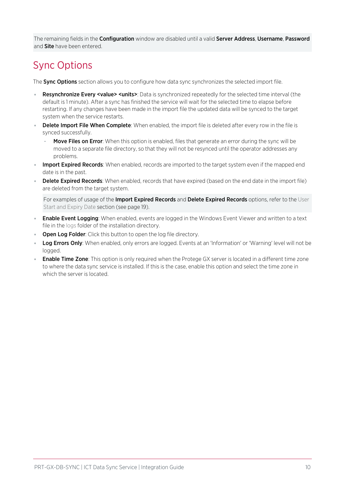<span id="page-9-0"></span>The remaining fields in the **Configuration** window are disabled until a valid **Server Address, Username, Password** and **Site** have been entered.

## Sync Options

The Sync Options section allows you to configure how data sync synchronizes the selected import file.

- Resynchronize Every <value> <units>: Data is synchronized repeatedly for the selected time interval (the default is 1 minute). After a sync has finished the service will wait for the selected time to elapse before restarting. If any changes have been made in the import file the updated data will be synced to the target system when the service restarts.
- Delete Import File When Complete: When enabled, the import file is deleted after every row in the file is synced successfully.
	- **Move Files on Error**: When this option is enabled, files that generate an error during the sync will be moved to a separate file directory, so that they will not be resynced until the operator addresses any problems.
- . Import Expired Records: When enabled, records are imported to the target system even if the mapped end date is in the past.
- Delete Expired Records: When enabled, records that have expired (based on the end date in the import file) are deleted from the target system.

For examples of usage of the Import Expired Records and Delete Expired Records options, refer to the User Start and Expiry Date section (see [page 19\)](#page-18-0).

- **Enable Event Logging**: When enabled, events are logged in the Windows Event Viewer and written to a text file in the logs folder of the installation directory.
- **Open Log Folder:** Click this button to open the log file directory.
- Log Errors Only: When enabled, only errors are logged. Events at an 'Information' or 'Warning' level will not be logged.
- **Enable Time Zone**: This option is only required when the Protege GX server is located in a different time zone to where the data sync service is installed. If this is the case, enable this option and select the time zone in which the server is located.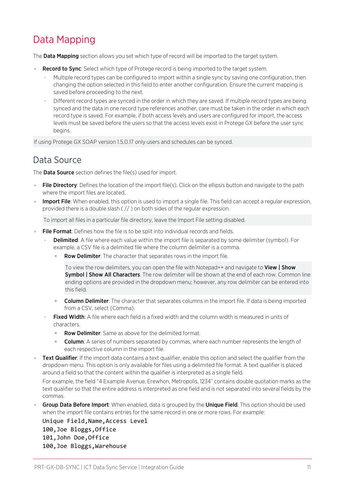## <span id="page-10-0"></span>Data Mapping

The **Data Mapping** section allows you set which type of record will be imported to the target system.

- Record to Sync: Select which type of Protege record is being imported to the target system.
	- Multiple record types can be configured to import within a single sync by saving one configuration, then changing the option selected in this field to enter another configuration. Ensure the current mapping is saved before proceeding to the next.
	- Different record types are synced in the order in which they are saved. If multiple record types are being synced and the data in one record type references another, care must be taken in the order in which each record type is saved. For example, if both access levels and users are configured for import, the access levels must be saved before the users so that the access levels exist in Protege GX before the user sync begins.

<span id="page-10-1"></span>If using Protege GX SOAP version 1.5.0.17 only users and schedules can be synced.

### Data Source

The **Data Source** section defines the file(s) used for import.

- **File Directory**: Defines the location of the import file(s). Click on the ellipsis button and navigate to the path where the import files are located.
- **Import File**: When enabled, this option is used to import a single file. This field can accept a regular expression, provided there is a double slash ( // ) on both sides of the regular expression.

To import all files in a particular file directory, leave the Import File setting disabled.

- **File Format:** Defines how the file is to be split into individual records and fields.
	- **Delimited:** A file where each value within the import file is separated by some delimiter (symbol). For example, a CSV file is a delimited file where the column delimiter is a comma.
		- Row Delimiter: The character that separates rows in the import file.

To view the row delimiters, you can open the file with Notepad++ and navigate to View | Show **Symbol | Show All Characters**. The row delimiter will be shown at the end of each row. Common line ending options are provided in the dropdown menu; however, any row delimiter can be entered into this field.

- **Column Delimiter**: The character that separates columns in the import file. If data is being imported from a CSV, select {Comma}.
- **Fixed Width:** A file where each field is a fixed width and the column width is measured in units of characters.
	- Row Delimiter: Same as above for the delimited format.
	- **Column:** A series of numbers separated by commas, where each number represents the length of each respective column in the import file.
- Text Qualifier: If the import data contains a text qualifier, enable this option and select the qualifier from the dropdown menu. This option is only available for files using a delimited file format. A text qualifier is placed around a field so that the content within the qualifier is interpreted as a single field.

For example, the field "4 Example Avenue, Erewhon, Metropolis, 1234" contains double quotation marks as the text qualifier so that the entire address is interpreted as one field and is not separated into several fields by the commas.

**Group Data Before Import**: When enabled, data is grouped by the **Unique Field**. This option should be used when the import file contains entries for the same record in one or more rows. For example:

Unique Field,Name,Access Level 100,Joe Bloggs,Office 101,John Doe,Office 100,Joe Bloggs,Warehouse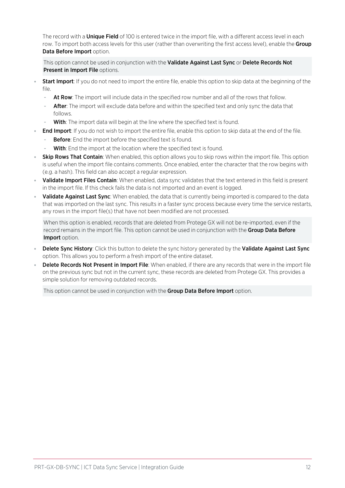The record with a **Unique Field** of 100 is entered twice in the import file, with a different access level in each row. To import both access levels for this user (rather than overwriting the first access level), enable the Group Data Before Import option.

This option cannot be used in conjunction with the Validate Against Last Sync or Delete Records Not Present in Import File options.

- **Start Import**: If you do not need to import the entire file, enable this option to skip data at the beginning of the file.
	- At Row: The import will include data in the specified row number and all of the rows that follow.
	- After: The import will exclude data before and within the specified text and only sync the data that follows.
	- With: The import data will begin at the line where the specified text is found.
	- **End Import:** If you do not wish to import the entire file, enable this option to skip data at the end of the file.
	- **Before**: End the import before the specified text is found.
	- With: End the import at the location where the specified text is found.
- **Skip Rows That Contain**: When enabled, this option allows you to skip rows within the import file. This option is useful when the import file contains comments. Once enabled, enter the character that the row begins with (e.g. a hash). This field can also accept a regular expression.
- Validate Import Files Contain: When enabled, data sync validates that the text entered in this field is present in the import file. If this check fails the data is not imported and an event is logged.
- Validate Against Last Sync: When enabled, the data that is currently being imported is compared to the data that was imported on the last sync. This results in a faster sync process because every time the service restarts, any rows in the import file(s) that have not been modified are not processed.

When this option is enabled, records that are deleted from Protege GX will not be re-imported, even if the record remains in the import file. This option cannot be used in conjunction with the Group Data Before Import option.

- Delete Sync History: Click this button to delete the sync history generated by the Validate Against Last Sync option. This allows you to perform a fresh import of the entire dataset.
- Delete Records Not Present in Import File: When enabled, if there are any records that were in the import file on the previous sync but not in the current sync, these records are deleted from Protege GX. This provides a simple solution for removing outdated records.

This option cannot be used in conjunction with the **Group Data Before Import** option.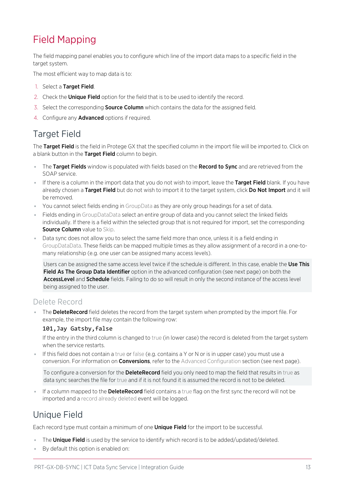## <span id="page-12-0"></span>Field Mapping

The field mapping panel enables you to configure which line of the import data maps to a specific field in the target system.

The most efficient way to map data is to:

- 1. Select a Target Field.
- 2. Check the **Unique Field** option for the field that is to be used to identify the record.
- 3. Select the corresponding **Source Column** which contains the data for the assigned field.
- <span id="page-12-1"></span>4. Configure any Advanced options if required.

### Target Field

The Target Field is the field in Protege GX that the specified column in the import file will be imported to. Click on a blank button in the Target Field column to begin.

- The Target Fields window is populated with fields based on the Record to Sync and are retrieved from the SOAP service.
- If there is a column in the import data that you do not wish to import, leave the Target Field blank. If you have already chosen a Target Field but do not wish to import it to the target system, click Do Not Import and it will be removed.
- ⦁ You cannot select fields ending in GroupData as they are only group headings for a set of data.
- Fields ending in GroupDataData select an entire group of data and you cannot select the linked fields individually. If there is a field within the selected group that is not required for import, set the corresponding **Source Column** value to Skip.
- ⦁ Data sync does not allow you to select the same field more than once, unless it is a field ending in GroupDataData. These fields can be mapped multiple times as they allow assignment of a record in a one-tomany relationship (e.g. one user can be assigned many access levels).

Users can be assigned the same access level twice if the schedule is different. In this case, enable the Use This Field As The Group Data Identifier option in the advanced configuration (see next [page\)](#page-13-2) on both the AccessLevel and Schedule fields. Failing to do so will result in only the second instance of the access level being assigned to the user.

### Delete Record

The **DeleteRecord** field deletes the record from the target system when prompted by the import file. For example, the import file may contain the following row:

#### 101,Jay Gatsby,false

If the entry in the third column is changed to true (in lower case) the record is deleted from the target system when the service restarts.

⦁ If this field does not contain a true or false (e.g. contains a Y or N or is in upper case) you must use a conversion. For information on **Conversions**, refer to the Advanced Configuration section (see next [page\).](#page-13-2)

To configure a conversion for the **DeleteRecord** field you only need to map the field that results in true as data sync searches the file for true and if it is not found it is assumed the record is not to be deleted.

<span id="page-12-2"></span>**If a column mapped to the DeleteRecord** field contains a true flag on the first sync the record will not be imported and a record already deleted event will be logged.

## Unique Field

Each record type must contain a minimum of one **Unique Field** for the import to be successful.

- . The Unique Field is used by the service to identify which record is to be added/updated/deleted.
- By default this option is enabled on: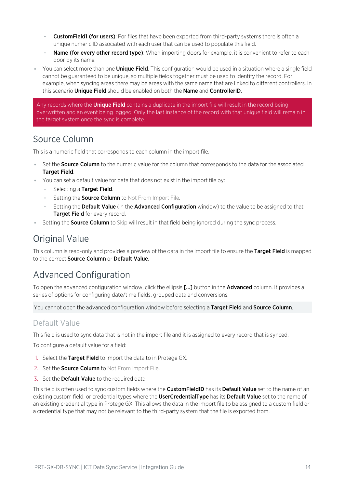- **CustomField1 (for users)**: For files that have been exported from third-party systems there is often a unique numeric ID associated with each user that can be used to populate this field.
- Name (for every other record type): When importing doors for example, it is convenient to refer to each door by its name.
- You can select more than one **Unique Field**. This configuration would be used in a situation where a single field cannot be guaranteed to be unique, so multiple fields together must be used to identify the record. For example, when syncing areas there may be areas with the same name that are linked to different controllers. In this scenario **Unique Field** should be enabled on both the **Name** and **ControllerID**.

Any records where the **Unique Field** contains a duplicate in the import file will result in the record being overwritten and an event being logged. Only the last instance of the record with that unique field will remain in the target system once the sync is complete.

### <span id="page-13-0"></span>Source Column

This is a numeric field that corresponds to each column in the import file.

- Set the **Source Column** to the numeric value for the column that corresponds to the data for the associated Target Field.
- ⦁ You can set a default value for data that does not exist in the import file by:
	- Selecting a Target Field.
	- Setting the **Source Column** to Not From Import File.
	- Setting the Default Value (in the Advanced Configuration window) to the value to be assigned to that Target Field for every record.
- <span id="page-13-1"></span>**• Setting the Source Column to** Skip will result in that field being ignored during the sync process.

### Original Value

<span id="page-13-2"></span>This column is read-only and provides a preview of the data in the import file to ensure the Target Field is mapped to the correct Source Column or Default Value.

### Advanced Configuration

To open the advanced configuration window, click the ellipsis [...] button in the **Advanced** column. It provides a series of options for configuring date/time fields, grouped data and conversions.

You cannot open the advanced configuration window before selecting a Target Field and Source Column.

### Default Value

This field is used to sync data that is not in the import file and it is assigned to every record that is synced.

To configure a default value for a field:

- 1. Select the Target Field to import the data to in Protege GX.
- 2. Set the **Source Column** to Not From Import File.
- 3. Set the **Default Value** to the required data.

This field is often used to sync custom fields where the CustomFieldID has its Default Value set to the name of an existing custom field, or credential types where the UserCredentialType has its Default Value set to the name of an existing credential type in Protege GX. This allows the data in the import file to be assigned to a custom field or a credential type that may not be relevant to the third-party system that the file is exported from.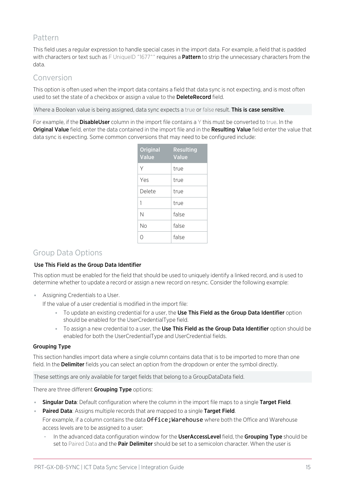### Pattern

This field uses a regular expression to handle special cases in the import data. For example, a field that is padded with characters or text such as F UniqueID ^1677^^ requires a Pattern to strip the unnecessary characters from the data.

### Conversion

This option is often used when the import data contains a field that data sync is not expecting, and is most often used to set the state of a checkbox or assign a value to the DeleteRecord field.

Where a Boolean value is being assigned, data sync expects a true or false result. This is case sensitive.

For example, if the **DisableUser** column in the import file contains a Y this must be converted to true. In the Original Value field, enter the data contained in the import file and in the Resulting Value field enter the value that data sync is expecting. Some common conversions that may need to be configured include:

| <b>Original</b><br><b>Value</b> | <b>Resulting</b><br><b>Value</b> |
|---------------------------------|----------------------------------|
| Υ                               | true                             |
| Yes                             | true                             |
| Delete                          | true                             |
| 1                               | true                             |
| Ν                               | false                            |
| No                              | false                            |
| Ω                               | false                            |

### Group Data Options

#### Use This Field as the Group Data Identifier

This option must be enabled for the field that should be used to uniquely identify a linked record, and is used to determine whether to update a record or assign a new record on resync. Consider the following example:

⦁ Assigning Credentials to a User.

If the value of a user credential is modified in the import file:

- To update an existing credential for a user, the Use This Field as the Group Data Identifier option should be enabled for the UserCredentialType field.
- To assign a new credential to a user, the Use This Field as the Group Data Identifier option should be enabled for both the UserCredentialType and UserCredential fields.

#### Grouping Type

This section handles import data where a single column contains data that is to be imported to more than one field. In the Delimiter fields you can select an option from the dropdown or enter the symbol directly.

These settings are only available for target fields that belong to a GroupDataData field.

There are three different Grouping Type options:

- Singular Data: Default configuration where the column in the import file maps to a single Target Field.
- Paired Data: Assigns multiple records that are mapped to a single Target Field.

For example, if a column contains the data Office; Warehouse where both the Office and Warehouse access levels are to be assigned to a user:

In the advanced data configuration window for the UserAccessLevel field, the Grouping Type should be set to Paired Data and the **Pair Delimiter** should be set to a semicolon character. When the user is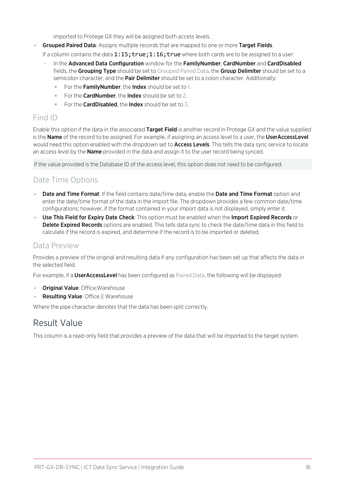imported to Protege GX they will be assigned both access levels.

**Grouped Paired Data**: Assigns multiple records that are mapped to one or more Target Fields.

If a column contains the data 1:15; true;1:16; true where both cards are to be assigned to a user:

- In the Advanced Data Configuration window for the FamilyNumber, CardNumber and CardDisabled fields, the Grouping Type should be set to Grouped Paired Data, the Group Delimiter should be set to a semicolon character, and the **Pair Delimiter** should be set to a colon character. Additionally:
	- For the FamilyNumber, the Index should be set to 1.
	- For the **CardNumber**, the **Index** should be set to 2.
	- For the **CardDisabled**, the **Index** should be set to 3.

### Find ID

Enable this option if the data in the associated Target Field is another record in Protege GX and the value supplied is the **Name** of the record to be assigned. For example, if assigning an access level to a user, the UserAccessLevel would need this option enabled with the dropdown set to **Access Levels**. This tells the data sync service to locate an access level by the **Name** provided in the data and assign it to the user record being synced.

If the value provided is the Database ID of the access level, this option does not need to be configured.

### Date Time Options

- Date and Time Format: If the field contains date/time data, enable the Date and Time Format option and enter the date/time format of the data in the import file. The dropdown provides a few common date/time configurations; however, if the format contained in your import data is not displayed, simply enter it.
- **Use This Field for Expiry Date Check**: This option must be enabled when the Import Expired Records or Delete Expired Records options are enabled. This tells data sync to check the date/time data in this field to calculate if the record is expired, and determine if the record is to be imported or deleted.

### Data Preview

Provides a preview of the original and resulting data if any configuration has been set up that affects the data in the selected field.

For example, if a UserAccessLevel has been configured as Paired Data, the following will be displayed:

- Original Value: Office; Warehouse
- ⦁ Resulting Value: Office || Warehouse

<span id="page-15-0"></span>Where the pipe character denotes that the data has been split correctly.

### Result Value

This column is a read-only field that provides a preview of the data that will be imported to the target system.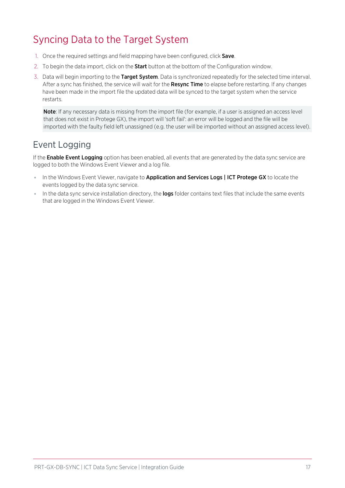## <span id="page-16-0"></span>Syncing Data to the Target System

- 1. Once the required settings and field mapping have been configured, click Save.
- 2. To begin the data import, click on the **Start** button at the bottom of the Configuration window.
- 3. Data will begin importing to the Target System. Data is synchronized repeatedly for the selected time interval. After a sync has finished, the service will wait for the **Resync Time** to elapse before restarting. If any changes have been made in the import file the updated data will be synced to the target system when the service restarts.

Note: If any necessary data is missing from the import file (for example, if a user is assigned an access level that does not exist in Protege GX), the import will 'soft fail': an error will be logged and the file will be imported with the faulty field left unassigned (e.g. the user will be imported without an assigned access level).

### <span id="page-16-1"></span>Event Logging

If the **Enable Event Logging** option has been enabled, all events that are generated by the data sync service are logged to both the Windows Event Viewer and a log file.

- . In the Windows Event Viewer, navigate to Application and Services Logs | ICT Protege GX to locate the events logged by the data sync service.
- In the data sync service installation directory, the logs folder contains text files that include the same events that are logged in the Windows Event Viewer.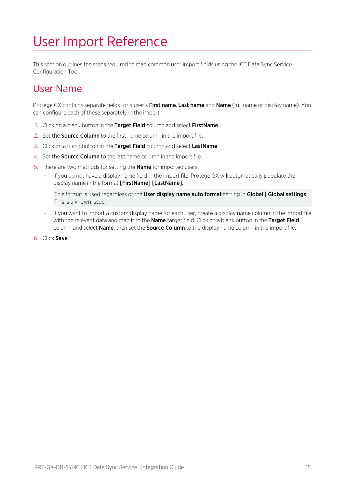# <span id="page-17-0"></span>User Import Reference

<span id="page-17-1"></span>This section outlines the steps required to map common user import fields using the ICT Data Sync Service Configuration Tool.

## User Name

Protege GX contains separate fields for a user's First name, Last name and Name (full name or display name). You can configure each of these separately in the import.

- 1. Click on a blank button in the Target Field column and select FirstName.
- 2. Set the **Source Column** to the first name column in the import file.
- 3. Click on a blank button in the Target Field column and select LastName.
- 4. Set the **Source Column** to the last name column in the import file.
- 5. There are two methods for setting the Name for imported users:
	- If you do not have a display name field in the import file, Protege GX will automatically populate the display name in the format [FirstName] [LastName].

This format is used regardless of the User display name auto format setting in Global | Global settings. This is a known issue.

- If you want to import a custom display name for each user, create a display name column in the import file with the relevant data and map it to the **Name** target field. Click on a blank button in the Target Field column and select Name, then set the Source Column to the display name column in the import file.
- 6. Click Save.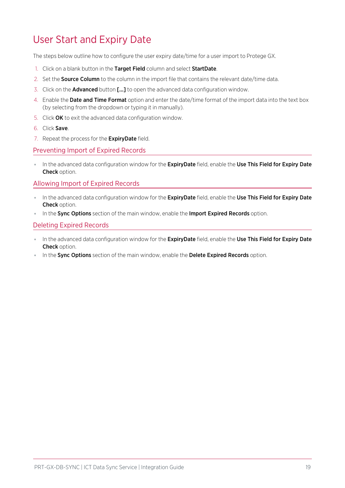## <span id="page-18-0"></span>User Start and Expiry Date

The steps below outline how to configure the user expiry date/time for a user import to Protege GX.

- 1. Click on a blank button in the Target Field column and select StartDate.
- 2. Set the **Source Column** to the column in the import file that contains the relevant date/time data.
- 3. Click on the Advanced button [...] to open the advanced data configuration window.
- 4. Enable the Date and Time Format option and enter the date/time format of the import data into the text box (by selecting from the dropdown or typing it in manually).
- 5. Click OK to exit the advanced data configuration window.
- 6. Click Save.
- 7. Repeat the process for the **ExpiryDate** field.

#### Preventing Import of Expired Records

In the advanced data configuration window for the ExpiryDate field, enable the Use This Field for Expiry Date Check option.

Allowing Import of Expired Records

- . In the advanced data configuration window for the ExpiryDate field, enable the Use This Field for Expiry Date Check option.
- In the Sync Options section of the main window, enable the Import Expired Records option.

#### Deleting Expired Records

- In the advanced data configuration window for the **ExpiryDate** field, enable the Use This Field for Expiry Date Check option.
- In the Sync Options section of the main window, enable the Delete Expired Records option.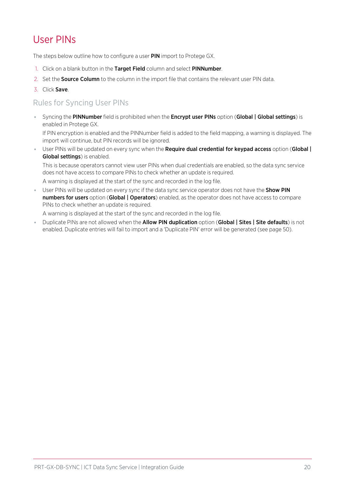## <span id="page-19-0"></span>User PINs

The steps below outline how to configure a user PIN import to Protege GX.

- 1. Click on a blank button in the Target Field column and select PINNumber.
- 2. Set the **Source Column** to the column in the import file that contains the relevant user PIN data.
- 3. Click Save.

### Rules for Syncing User PINs

● Syncing the PINNumber field is prohibited when the Encrypt user PINs option (Global | Global settings) is enabled in Protege GX.

If PIN encryption is enabled and the PINNumber field is added to the field mapping, a warning is displayed. The import will continue, but PIN records will be ignored.

User PINs will be updated on every sync when the Require dual credential for keypad access option (Global | Global settings) is enabled.

This is because operators cannot view user PINs when dual credentials are enabled, so the data sync service does not have access to compare PINs to check whether an update is required.

A warning is displayed at the start of the sync and recorded in the log file.

**User PINs will be updated on every sync if the data sync service operator does not have the Show PIN** numbers for users option (Global | Operators) enabled, as the operator does not have access to compare PINs to check whether an update is required.

A warning is displayed at the start of the sync and recorded in the log file.

• Duplicate PINs are not allowed when the Allow PIN duplication option (Global | Sites | Site defaults) is not enabled. Duplicate entries will fail to import and a 'Duplicate PIN' error will be generated (see [page 50\)](#page-49-0).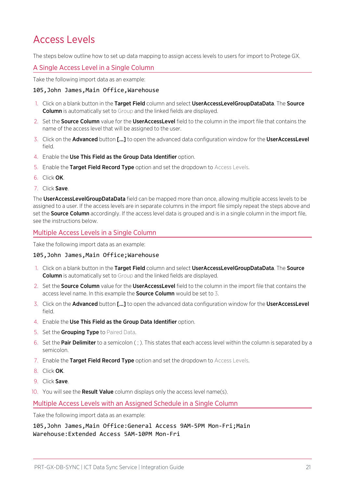## <span id="page-20-0"></span>Access Levels

The steps below outline how to set up data mapping to assign access levels to users for import to Protege GX.

#### A Single Access Level in a Single Column

Take the following import data as an example:

#### 105,John James,Main Office,Warehouse

- 1. Click on a blank button in the Target Field column and select UserAccessLevelGroupDataData. The Source **Column** is automatically set to Group and the linked fields are displayed.
- 2. Set the **Source Column** value for the **UserAccessLevel** field to the column in the import file that contains the name of the access level that will be assigned to the user.
- 3. Click on the **Advanced** button [...] to open the advanced data configuration window for the UserAccessLevel field.
- 4. Enable the Use This Field as the Group Data Identifier option.
- 5. Enable the Target Field Record Type option and set the dropdown to Access Levels.
- 6. Click OK.
- 7. Click Save.

The UserAccessLevelGroupDataData field can be mapped more than once, allowing multiple access levels to be assigned to a user. If the access levels are in separate columns in the import file simply repeat the steps above and set the **Source Column** accordingly. If the access level data is grouped and is in a single column in the import file, see the instructions below.

#### Multiple Access Levels in a Single Column

Take the following import data as an example:

#### 105,John James,Main Office;Warehouse

- 1. Click on a blank button in the Target Field column and select UserAccessLevelGroupDataData. The Source Column is automatically set to Group and the linked fields are displayed.
- 2. Set the **Source Column** value for the **UserAccessLevel** field to the column in the import file that contains the access level name. In this example the **Source Column** would be set to 3.
- 3. Click on the Advanced button [...] to open the advanced data configuration window for the UserAccessLevel field.
- 4. Enable the Use This Field as the Group Data Identifier option.
- 5. Set the Grouping Type to Paired Data.
- 6. Set the **Pair Delimiter** to a semicolon  $($ ;  $)$ . This states that each access level within the column is separated by a semicolon.
- 7. Enable the Target Field Record Type option and set the dropdown to Access Levels.
- 8. Click OK.
- 9. Click Save.
- 10. You will see the **Result Value** column displays only the access level name(s).

#### Multiple Access Levels with an Assigned Schedule in a Single Column

Take the following import data as an example:

105,John James,Main Office:General Access 9AM-5PM Mon-Fri;Main Warehouse:Extended Access 5AM-10PM Mon-Fri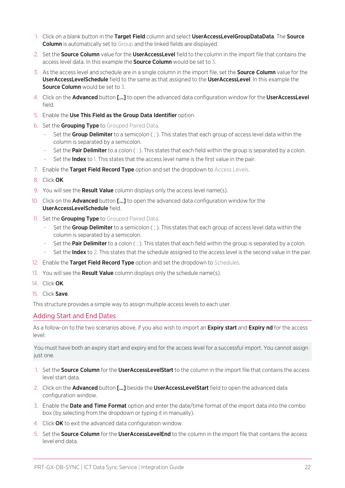- 1. Click on a blank button in the Target Field column and select UserAccessLevelGroupDataData. The Source **Column** is automatically set to Group and the linked fields are displayed.
- 2. Set the **Source Column** value for the **UserAccessLevel** field to the column in the import file that contains the access level data. In this example the **Source Column** would be set to 3.
- 3. As the access level and schedule are in a single column in the import file, set the **Source Column** value for the UserAccessLevelSchedule field to the same as that assigned to the UserAccessLevel. In this example the Source Column would be set to 3.
- 4. Click on the **Advanced** button [...] to open the advanced data configuration window for the **UserAccessLevel** field.
- 5. Enable the Use This Field as the Group Data Identifier option.
- 6. Set the Grouping Type to Grouped Paired Data.
	- Set the Group Delimiter to a semicolon (; ). This states that each group of access level data within the column is separated by a semicolon.
	- Set the **Pair Delimiter** to a colon  $( \cdot )$ . This states that each field within the group is separated by a colon.
	- Set the **Index** to 1. This states that the access level name is the first value in the pair.
- 7. Enable the Target Field Record Type option and set the dropdown to Access Levels.
- 8. Click OK.
- 9. You will see the **Result Value** column displays only the access level name(s).
- 10. Click on the **Advanced** button [...] to open the advanced data configuration window for the UserAccessLevelSchedule field.
- 11. Set the Grouping Type to Grouped Paired Data.
	- Set the Group Delimiter to a semicolon  $( ; )$ . This states that each group of access level data within the column is separated by a semicolon.
	- Set the Pair Delimiter to a colon  $( : )$ . This states that each field within the group is separated by a colon.
	- Set the **Index** to 2. This states that the schedule assigned to the access level is the second value in the pair.
- 12. Enable the Target Field Record Type option and set the dropdown to Schedules.
- 13. You will see the **Result Value** column displays only the schedule name(s).
- 14 Click **OK**
- 15. Click Save.

This structure provides a simple way to assign multiple access levels to each user.

#### Adding Start and End Dates

As a follow-on to the two scenarios above, if you also wish to import an **Expiry start** and **Expiry nd** for the access level:

You must have both an expiry start and expiry end for the access level for a successful import. You cannot assign just one.

- 1. Set the Source Column for the UserAccessLevelStart to the column in the import file that contains the access level start data.
- 2. Click on the Advanced button [...] beside the UserAccessLevelStart field to open the advanced data configuration window.
- 3. Enable the Date and Time Format option and enter the date/time format of the import data into the combo box (by selecting from the dropdown or typing it in manually).
- 4. Click OK to exit the advanced data configuration window.
- 5. Set the Source Column for the UserAccessLevelEnd to the column in the import file that contains the access level end data.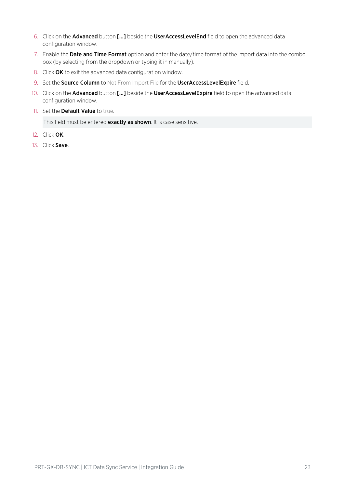- 6. Click on the Advanced button [...] beside the UserAccessLevelEnd field to open the advanced data configuration window.
- 7. Enable the Date and Time Format option and enter the date/time format of the import data into the combo box (by selecting from the dropdown or typing it in manually).
- 8. Click OK to exit the advanced data configuration window.
- 9. Set the Source Column to Not From Import File for the UserAccessLevelExpire field.
- 10. Click on the Advanced button [...] beside the UserAccessLevelExpire field to open the advanced data configuration window.
- 11. Set the Default Value to true.

This field must be entered exactly as shown. It is case sensitive.

- 12. Click OK.
- 13. Click Save.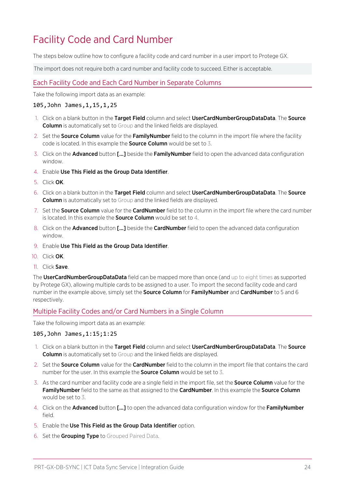## <span id="page-23-0"></span>Facility Code and Card Number

The steps below outline how to configure a facility code and card number in a user import to Protege GX.

The import does not require both a card number and facility code to succeed. Either is acceptable.

#### Each Facility Code and Each Card Number in Separate Columns

Take the following import data as an example:

#### 105,John James,1,15,1,25

- 1. Click on a blank button in the Target Field column and select UserCardNumberGroupDataData. The Source **Column** is automatically set to Group and the linked fields are displayed.
- 2. Set the **Source Column** value for the FamilyNumber field to the column in the import file where the facility code is located. In this example the **Source Column** would be set to 3.
- 3. Click on the **Advanced** button [...] beside the Family Number field to open the advanced data configuration window.
- 4. Enable Use This Field as the Group Data Identifier.
- 5. Click OK.
- 6. Click on a blank button in the Target Field column and select UserCardNumberGroupDataData. The Source **Column** is automatically set to Group and the linked fields are displayed.
- 7. Set the **Source Column** value for the **CardNumber** field to the column in the import file where the card number is located. In this example the **Source Column** would be set to 4.
- 8. Click on the **Advanced** button [...] beside the **CardNumber** field to open the advanced data configuration window.
- 9. Enable Use This Field as the Group Data Identifier.
- 10. Click OK.
- 11. Click Save.

The UserCardNumberGroupDataData field can be mapped more than once (and up to eight times as supported by Protege GX), allowing multiple cards to be assigned to a user. To import the second facility code and card number in the example above, simply set the **Source Column** for FamilyNumber and CardNumber to 5 and 6 respectively.

#### Multiple Facility Codes and/or Card Numbers in a Single Column

Take the following import data as an example:

#### 105,John James,1:15;1:25

- 1. Click on a blank button in the Target Field column and select UserCardNumberGroupDataData. The Source **Column** is automatically set to Group and the linked fields are displayed.
- 2. Set the **Source Column** value for the **CardNumber** field to the column in the import file that contains the card number for the user. In this example the **Source Column** would be set to 3.
- 3. As the card number and facility code are a single field in the import file, set the **Source Column** value for the Family Number field to the same as that assigned to the CardNumber. In this example the Source Column would be set to 3.
- 4. Click on the **Advanced** button [...] to open the advanced data configuration window for the **FamilyNumber** field.
- 5. Enable the Use This Field as the Group Data Identifier option.
- 6. Set the Grouping Type to Grouped Paired Data.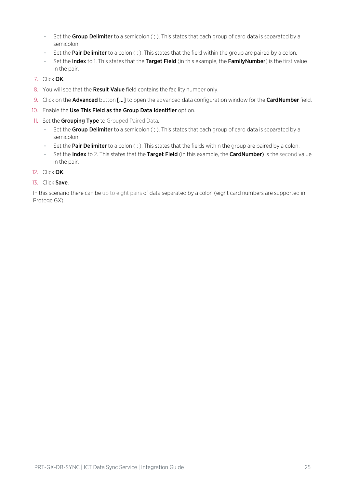- Set the Group Delimiter to a semicolon (; ). This states that each group of card data is separated by a semicolon.
- Set the **Pair Delimiter** to a colon  $( : )$ . This states that the field within the group are paired by a colon.
- Set the Index to 1. This states that the Target Field (in this example, the FamilyNumber) is the first value in the pair.
- 7. Click OK.
- 8. You will see that the Result Value field contains the facility number only.
- 9. Click on the **Advanced** button [...] to open the advanced data configuration window for the **CardNumber** field.
- 10. Enable the Use This Field as the Group Data Identifier option.
- 11. Set the Grouping Type to Grouped Paired Data.
	- Set the Group Delimiter to a semicolon (; ). This states that each group of card data is separated by a semicolon.
	- Set the Pair Delimiter to a colon (: ). This states that the fields within the group are paired by a colon.
	- Set the Index to 2. This states that the Target Field (in this example, the CardNumber) is the second value in the pair.
- 12. Click OK.
- 13. Click Save.

In this scenario there can be up to eight pairs of data separated by a colon (eight card numbers are supported in Protege GX).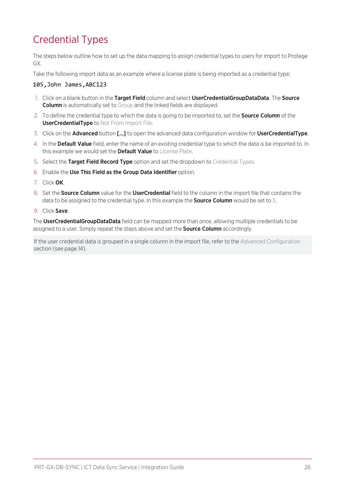## <span id="page-25-0"></span>Credential Types

The steps below outline how to set up the data mapping to assign credential types to users for import to Protege GX.

Take the following import data as an example where a license plate is being imported as a credential type:

#### 105,John James,ABC123

- 1. Click on a blank button in the Target Field column and select UserCredentialGroupDataData. The Source **Column** is automatically set to Group and the linked fields are displayed.
- 2. To define the credential type to which the data is going to be imported to, set the **Source Column** of the UserCredentialType to Not From Import File.
- 3. Click on the Advanced button [...] to open the advanced data configuration window for UserCredentialType.
- 4. In the Default Value field, enter the name of an existing credential type to which the data is be imported to. In this example we would set the **Default Value** to License Plate.
- 5. Select the Target Field Record Type option and set the dropdown to Credential Types.
- 6. Enable the Use This Field as the Group Data Identifier option.
- 7. Click OK.
- 8. Set the **Source Column** value for the **UserCredential** field to the column in the import file that contains the data to be assigned to the credential type. In this example the **Source Column** would be set to 3.
- 9. Click Save.

The UserCredentialGroupDataData field can be mapped more than once, allowing multiple credentials to be assigned to a user. Simply repeat the steps above and set the **Source Column** accordingly.

If the user credential data is grouped in a single column in the import file, refer to the Advanced Configuration section (see [page 14\)](#page-13-2).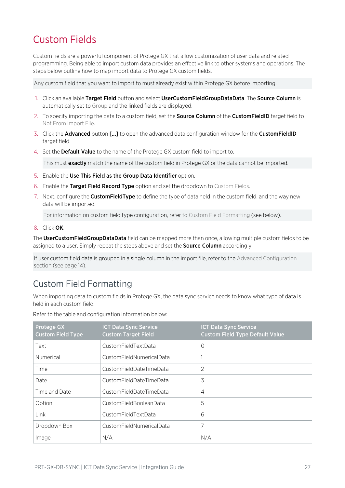## <span id="page-26-0"></span>Custom Fields

Custom fields are a powerful component of Protege GX that allow customization of user data and related programming. Being able to import custom data provides an effective link to other systems and operations. The steps below outline how to map import data to Protege GX custom fields.

Any custom field that you want to import to must already exist within Protege GX before importing.

- 1. Click an available Target Field button and select UserCustomFieldGroupDataData. The Source Column is automatically set to Group and the linked fields are displayed.
- 2. To specify importing the data to a custom field, set the **Source Column** of the **CustomFieldID** target field to Not From Import File.
- 3. Click the Advanced button [...] to open the advanced data configuration window for the CustomFieldID target field.
- 4. Set the **Default Value** to the name of the Protege GX custom field to import to.

This must **exactly** match the name of the custom field in Protege GX or the data cannot be imported.

- 5. Enable the Use This Field as the Group Data Identifier option.
- 6. Enable the Target Field Record Type option and set the dropdown to Custom Fields.
- 7. Next, configure the **CustomFieldType** to define the type of data held in the custom field, and the way new data will be imported.

For information on custom field type configuration, refer to Custom Field Formatting (see [below\)](#page-26-1).

8. Click OK.

The UserCustomFieldGroupDataData field can be mapped more than once, allowing multiple custom fields to be assigned to a user. Simply repeat the steps above and set the **Source Column** accordingly.

<span id="page-26-1"></span>If user custom field data is grouped in a single column in the import file, refer to the Advanced Configuration section (see [page 14\)](#page-13-2).

### Custom Field Formatting

When importing data to custom fields in Protege GX, the data sync service needs to know what type of data is held in each custom field.

| <b>Protege GX</b><br><b>Custom Field Type</b> | <b>ICT Data Sync Service</b><br><b>Custom Target Field</b> | <b>ICT Data Sync Service</b><br><b>Custom Field Type Default Value</b> |
|-----------------------------------------------|------------------------------------------------------------|------------------------------------------------------------------------|
| Text                                          | CustomFieldTextData                                        | $\Omega$                                                               |
| Numerical                                     | CustomFieldNumericalData                                   |                                                                        |
| Time                                          | CustomFieldDateTimeData                                    | 2                                                                      |
| Date                                          | CustomFieldDateTimeData                                    | 3                                                                      |
| Time and Date                                 | CustomFieldDateTimeData                                    | 4                                                                      |
| Option                                        | CustomFieldBooleanData                                     | 5                                                                      |
| Link                                          | CustomFieldTextData                                        | 6                                                                      |
| Dropdown Box                                  | CustomFieldNumericalData                                   | 7                                                                      |
| Image                                         | N/A                                                        | N/A                                                                    |

Refer to the table and configuration information below: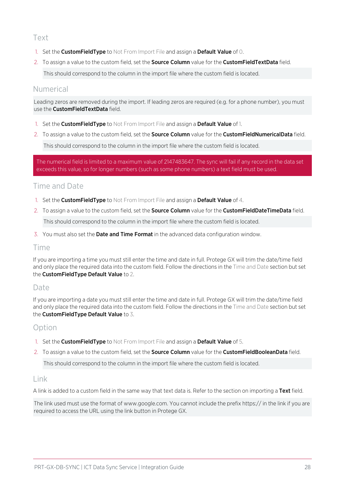#### Text

- 1. Set the **CustomFieldType** to Not From Import File and assign a **Default Value** of 0.
- 2. To assign a value to the custom field, set the **Source Column** value for the CustomFieldTextData field.

This should correspond to the column in the import file where the custom field is located.

### Numerical

Leading zeros are removed during the import. If leading zeros are required (e.g. for a phone number), you must use the CustomFieldTextData field.

- 1. Set the **CustomFieldType** to Not From Import File and assign a **Default Value** of 1.
- 2. To assign a value to the custom field, set the Source Column value for the CustomFieldNumericalData field.

This should correspond to the column in the import file where the custom field is located.

The numerical field is limited to a maximum value of 2147483647. The sync will fail if any record in the data set exceeds this value, so for longer numbers (such as some phone numbers) a text field must be used.

### Time and Date

- 1. Set the **CustomFieldType** to Not From Import File and assign a **Default Value** of 4.
- 2. To assign a value to the custom field, set the **Source Column** value for the **CustomFieldDateTimeData** field. This should correspond to the column in the import file where the custom field is located.
- 3. You must also set the **Date and Time Format** in the advanced data configuration window.

#### Time

If you are importing a time you must still enter the time and date in full. Protege GX will trim the date/time field and only place the required data into the custom field. Follow the directions in the Time and Date section but set the CustomFieldType Default Value to 2.

#### Date

If you are importing a date you must still enter the time and date in full. Protege GX will trim the date/time field and only place the required data into the custom field. Follow the directions in the Time and Date section but set the CustomFieldType Default Value to 3.

### Option

- 1. Set the **CustomFieldType** to Not From Import File and assign a **Default Value** of 5.
- 2. To assign a value to the custom field, set the **Source Column** value for the **CustomFieldBooleanData** field.

This should correspond to the column in the import file where the custom field is located.

#### Link

A link is added to a custom field in the same way that text data is. Refer to the section on importing a Text field.

The link used must use the format of www.google.com. You cannot include the prefix https:// in the link if you are required to access the URL using the link button in Protege GX.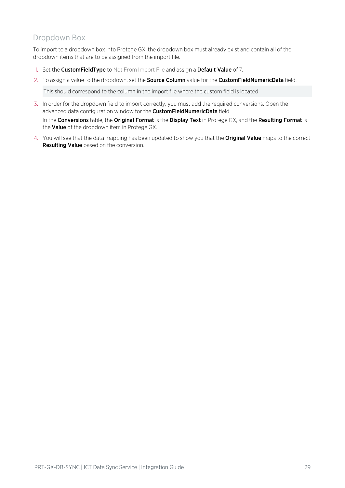### Dropdown Box

To import to a dropdown box into Protege GX, the dropdown box must already exist and contain all of the dropdown items that are to be assigned from the import file.

- 1. Set the CustomFieldType to Not From Import File and assign a Default Value of 7.
- 2. To assign a value to the dropdown, set the **Source Column** value for the **CustomFieldNumericData** field.

This should correspond to the column in the import file where the custom field is located.

- 3. In order for the dropdown field to import correctly, you must add the required conversions. Open the advanced data configuration window for the **CustomFieldNumericData** field. In the Conversions table, the Original Format is the Display Text in Protege GX, and the Resulting Format is the Value of the dropdown item in Protege GX.
- 4. You will see that the data mapping has been updated to show you that the **Original Value** maps to the correct Resulting Value based on the conversion.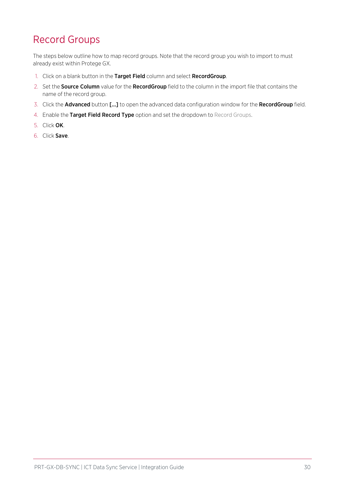## <span id="page-29-0"></span>Record Groups

The steps below outline how to map record groups. Note that the record group you wish to import to must already exist within Protege GX.

- 1. Click on a blank button in the Target Field column and select RecordGroup.
- 2. Set the **Source Column** value for the **RecordGroup** field to the column in the import file that contains the name of the record group.
- 3. Click the **Advanced** button [...] to open the advanced data configuration window for the RecordGroup field.
- 4. Enable the Target Field Record Type option and set the dropdown to Record Groups.
- 5. Click OK.
- 6. Click Save.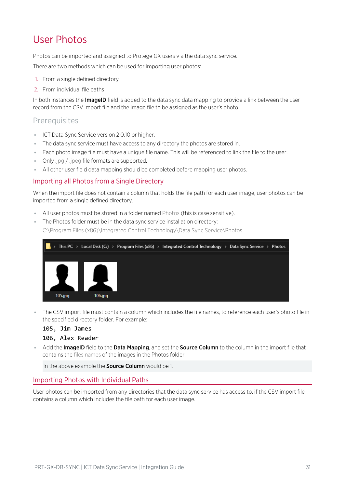## <span id="page-30-0"></span>User Photos

Photos can be imported and assigned to Protege GX users via the data sync service.

There are two methods which can be used for importing user photos:

- 1. From a single defined directory
- 2. From individual file paths

In both instances the **ImageID** field is added to the data sync data mapping to provide a link between the user record from the CSV import file and the image file to be assigned as the user's photo.

#### **Prerequisites**

- ⦁ ICT Data Sync Service version 2.0.10 or higher.
- ⦁ The data sync service must have access to any directory the photos are stored in.
- ⦁ Each photo image file must have a unique file name. This will be referenced to link the file to the user.
- ⦁ Only .jpg / .jpeg file formats are supported.
- ⦁ All other user field data mapping should be completed before mapping user photos.

#### Importing all Photos from a Single Directory

When the import file does not contain a column that holds the file path for each user image, user photos can be imported from a single defined directory.

- ⦁ All user photos must be stored in a folder named Photos (this is case sensitive).
- ⦁ The Photos folder must be in the data sync service installation directory: C:\Program Files (x86)\Integrated Control Technology\Data Sync Service\Photos



⦁ The CSV import file must contain a column which includes the file names, to reference each user's photo file in the specified directory folder. For example:

#### 105, Jim James

#### 106, Alex Reader

Add the ImageID field to the Data Mapping, and set the Source Column to the column in the import file that contains the files names of the images in the Photos folder.

In the above example the **Source Column** would be 1.

#### Importing Photos with Individual Paths

User photos can be imported from any directories that the data sync service has access to, if the CSV import file contains a column which includes the file path for each user image.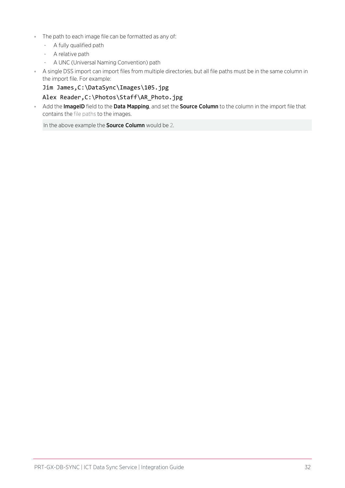- ⦁ The path to each image file can be formatted as any of:
	- A fully qualified path
	- A relative path
	- A UNC (Universal Naming Convention) path
- ⦁ A single DSS import can import files from multiple directories, but all file paths must be in the same column in the import file. For example:

#### Jim James,C:\DataSync\Images\105.jpg

#### Alex Reader,C:\Photos\Staff\AR\_Photo.jpg

Add the ImageID field to the Data Mapping, and set the Source Column to the column in the import file that contains the file paths to the images.

In the above example the **Source Column** would be 2.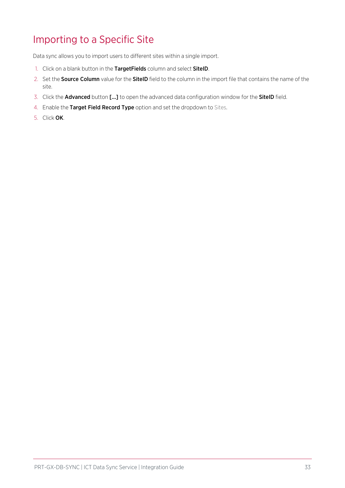## <span id="page-32-0"></span>Importing to a Specific Site

Data sync allows you to import users to different sites within a single import.

- 1. Click on a blank button in the TargetFields column and select SitelD.
- 2. Set the **Source Column** value for the **SiteID** field to the column in the import file that contains the name of the site.
- 3. Click the **Advanced** button [...] to open the advanced data configuration window for the **SiteID** field.
- 4. Enable the Target Field Record Type option and set the dropdown to Sites.
- 5. Click OK.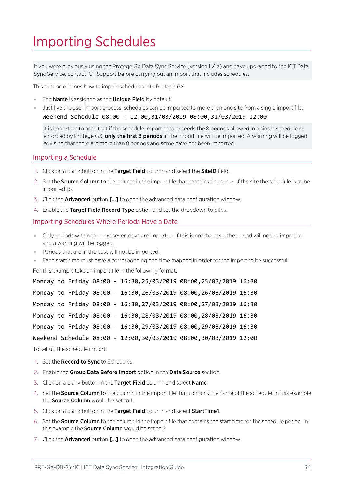# <span id="page-33-0"></span>Importing Schedules

If you were previously using the Protege GX Data Sync Service (version 1.X.X) and have upgraded to the ICT Data Sync Service, contact ICT Support before carrying out an import that includes schedules.

This section outlines how to import schedules into Protege GX.

- The **Name** is assigned as the **Unique Field** by default.
- ⦁ Just like the user import process, schedules can be imported to more than one site from a single import file:

Weekend Schedule 08:00 - 12:00,31/03/2019 08:00,31/03/2019 12:00

It is important to note that if the schedule import data exceeds the 8 periods allowed in a single schedule as enforced by Protege GX, only the first 8 periods in the import file will be imported. A warning will be logged advising that there are more than 8 periods and some have not been imported.

#### Importing a Schedule

- 1. Click on a blank button in the Target Field column and select the SitelD field.
- 2. Set the **Source Column** to the column in the import file that contains the name of the site the schedule is to be imported to.
- 3. Click the **Advanced** button [...] to open the advanced data configuration window.
- 4. Enable the Target Field Record Type option and set the dropdown to Sites.

#### Importing Schedules Where Periods Have a Date

- ⦁ Only periods within the next seven days are imported. If this is not the case, the period will not be imported and a warning will be logged.
- ⦁ Periods that are in the past will not be imported.
- ⦁ Each start time must have a corresponding end time mapped in order for the import to be successful.

For this example take an import file in the following format:

|  |  |  | Monday to Friday 08:00 - 16:30,25/03/2019 08:00,25/03/2019 16:30   |  |
|--|--|--|--------------------------------------------------------------------|--|
|  |  |  | Monday to Friday 08:00 - 16:30, 26/03/2019 08:00, 26/03/2019 16:30 |  |
|  |  |  | Monday to Friday 08:00 - 16:30,27/03/2019 08:00,27/03/2019 16:30   |  |
|  |  |  | Monday to Friday 08:00 - 16:30, 28/03/2019 08:00, 28/03/2019 16:30 |  |
|  |  |  | Monday to Friday 08:00 - 16:30, 29/03/2019 08:00, 29/03/2019 16:30 |  |
|  |  |  | Weekend Schedule 08:00 - 12:00,30/03/2019 08:00,30/03/2019 12:00   |  |
|  |  |  |                                                                    |  |

To set up the schedule import:

- 1. Set the Record to Sync to Schedules.
- 2. Enable the Group Data Before Import option in the Data Source section.
- 3. Click on a blank button in the Target Field column and select Name.
- 4. Set the **Source Column** to the column in the import file that contains the name of the schedule. In this example the **Source Column** would be set to 1.
- 5. Click on a blank button in the Target Field column and select StartTime1.
- 6. Set the Source Column to the column in the import file that contains the start time for the schedule period. In this example the **Source Column** would be set to 2.
- 7. Click the **Advanced** button [...] to open the advanced data configuration window.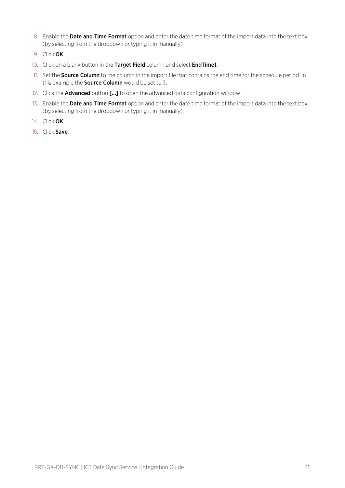- 8. Enable the Date and Time Format option and enter the date time format of the import data into the text box (by selecting from the dropdown or typing it in manually).
- 9. Click OK.
- 10. Click on a blank button in the Target Field column and select EndTime1.
- 11. Set the **Source Column** to the column in the import file that contains the end time for the schedule period. In this example the **Source Column** would be set to 3.
- 12. Click the **Advanced** button [...] to open the advanced data configuration window.
- 13. Enable the Date and Time Format option and enter the date time format of the import data into the text box (by selecting from the dropdown or typing it in manually).
- 14. Click OK.
- 15. Click Save.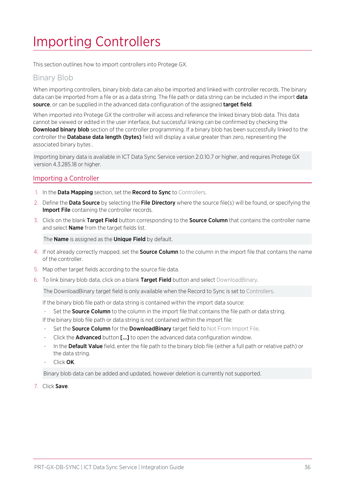# <span id="page-35-0"></span>Importing Controllers

This section outlines how to import controllers into Protege GX.

### Binary Blob

When importing controllers, binary blob data can also be imported and linked with controller records. The binary data can be imported from a file or as a data string. The file path or data string can be included in the import **data** source, or can be supplied in the advanced data configuration of the assigned target field.

When imported into Protege GX the controller will access and reference the linked binary blob data. This data cannot be viewed or edited in the user interface, but successful linking can be confirmed by checking the Download binary blob section of the controller programming. If a binary blob has been successfully linked to the controller the **Database data length (bytes)** field will display a value greater than zero, representing the associated binary bytes .

Importing binary data is available in ICT Data Sync Service version 2.0.10.7 or higher, and requires Protege GX version 4.3.285.18 or higher.

#### Importing a Controller

- 1. In the **Data Mapping** section, set the **Record to Sync** to Controllers.
- 2. Define the Data Source by selecting the File Directory where the source file(s) will be found, or specifying the **Import File** containing the controller records.
- 3. Click on the blank Target Field button corresponding to the Source Column that contains the controller name and select **Name** from the target fields list.

The **Name** is assigned as the **Unique Field** by default.

- 4. If not already correctly mapped, set the **Source Column** to the column in the import file that contains the name of the controller.
- 5. Map other target fields according to the source file data.
- 6. To link binary blob data, click on a blank Target Field button and select DownloadBinary.

The DownloadBinary target field is only available when the Record to Sync is set to Controllers.

If the binary blob file path or data string is contained within the import data source:

Set the Source Column to the column in the import file that contains the file path or data string.

If the binary blob file path or data string is not contained within the import file:

- Set the **Source Column** for the **DownloadBinary** target field to Not From Import File.
- Click the **Advanced** button [...] to open the advanced data configuration window.
- In the Default Value field, enter the file path to the binary blob file (either a full path or relative path) or the data string.
- Click OK.

Binary blob data can be added and updated, however deletion is currently not supported.

7. Click Save.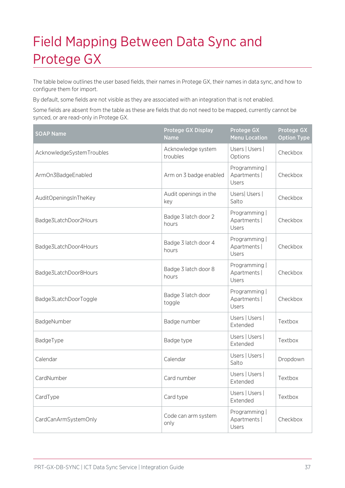# <span id="page-36-0"></span>Field Mapping Between Data Sync and Protege GX

The table below outlines the user based fields, their names in Protege GX, their names in data sync, and how to configure them for import.

By default, some fields are not visible as they are associated with an integration that is not enabled.

Some fields are absent from the table as these are fields that do not need to be mapped, currently cannot be synced, or are read-only in Protege GX.

| <b>SOAP Name</b>          | <b>Protege GX Display</b><br><b>Name</b> | <b>Protege GX</b><br><b>Menu Location</b> | <b>Protege GX</b><br><b>Option Type</b> |
|---------------------------|------------------------------------------|-------------------------------------------|-----------------------------------------|
| AcknowledgeSystemTroubles | Acknowledge system<br>troubles           | Users   Users  <br>Options                | Checkbox                                |
| ArmOn3BadgeEnabled        | Arm on 3 badge enabled                   | Programming  <br>Apartments  <br>Users    | Checkbox                                |
| AuditOpeningsInTheKey     | Audit openings in the<br>key             | Users  Users  <br>Salto                   | Checkbox                                |
| Badge3LatchDoor2Hours     | Badge 3 latch door 2<br>hours            | Programming  <br>Apartments  <br>Users    | Checkbox                                |
| Badge3LatchDoor4Hours     | Badge 3 latch door 4<br>hours            | Programming  <br>Apartments  <br>Users    | Checkbox                                |
| Badge3LatchDoor8Hours     | Badge 3 latch door 8<br>hours            | Programming  <br>Apartments  <br>Users    | Checkbox                                |
| Badge3LatchDoorToggle     | Badge 3 latch door<br>toggle             | Programming  <br>Apartments  <br>Users    | Checkbox                                |
| BadgeNumber               | Badge number                             | Users   Users  <br>Extended               | Textbox                                 |
| BadgeType                 | Badge type                               | Users   Users  <br>Extended               | Textbox                                 |
| Calendar                  | Calendar                                 | Users   Users  <br>Salto                  | Dropdown                                |
| CardNumber                | Card number                              | Users   Users  <br>Extended               | Textbox                                 |
| CardType                  | Card type                                | Users   Users  <br>Extended               | Textbox                                 |
| CardCanArmSystemOnly      | Code can arm system<br>only              | Programming  <br>Apartments  <br>Users    | Checkbox                                |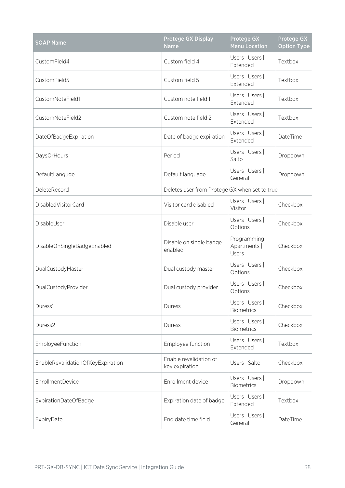| <b>SOAP Name</b>                  | <b>Protege GX Display</b><br><b>Name</b>      | <b>Protege GX</b><br><b>Menu Location</b> | <b>Protege GX</b><br><b>Option Type</b> |
|-----------------------------------|-----------------------------------------------|-------------------------------------------|-----------------------------------------|
| CustomField4                      | Custom field 4                                | Users   Users  <br>Extended               | Textbox                                 |
| CustomField5                      | Custom field 5                                | Users   Users  <br>Extended               | Textbox                                 |
| CustomNoteField1                  | Custom note field 1                           | Users   Users  <br>Extended               | Textbox                                 |
| CustomNoteField2                  | Custom note field 2                           | Users   Users  <br>Extended               | Textbox                                 |
| DateOfBadgeExpiration             | Date of badge expiration                      | Users   Users  <br>Extended               | DateTime                                |
| DaysOrHours                       | Period                                        | Users   Users  <br>Salto                  | Dropdown                                |
| DefaultLanguge                    | Default language                              | Users   Users  <br>General                | Dropdown                                |
| DeleteRecord                      | Deletes user from Protege GX when set to true |                                           |                                         |
| DisabledVisitorCard               | Visitor card disabled                         | Users   Users  <br>Visitor                | Checkbox                                |
| DisableUser                       | Disable user                                  | Users   Users  <br>Options                | Checkbox                                |
| DisableOnSingleBadgeEnabled       | Disable on single badge<br>enabled            | Programming  <br>Apartments  <br>Users    | Checkbox                                |
| DualCustodyMaster                 | Dual custody master                           | Users   Users  <br>Options                | Checkbox                                |
| DualCustodyProvider               | Dual custody provider                         | Users   Users  <br>Options                | Checkbox                                |
| Duress1                           | Duress                                        | Users   Users  <br><b>Biometrics</b>      | Checkbox                                |
| Duress2                           | Duress                                        | Users   Users  <br><b>Biometrics</b>      | Checkbox                                |
| <b>EmployeeFunction</b>           | Employee function                             | Users   Users  <br>Extended               | Textbox                                 |
| EnableRevalidationOfKeyExpiration | Enable revalidation of<br>key expiration      | Users   Salto                             | Checkbox                                |
| <b>EnrollmentDevice</b>           | Enrollment device                             | Users   Users  <br><b>Biometrics</b>      | Dropdown                                |
| ExpirationDateOfBadge             | Expiration date of badge                      | Users   Users  <br>Extended               | Textbox                                 |
| ExpiryDate                        | End date time field                           | Users   Users  <br>General                | DateTime                                |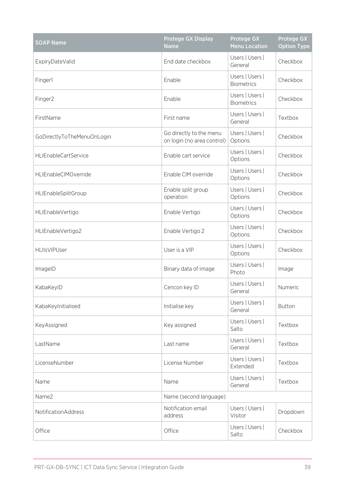| <b>SOAP Name</b>            | <b>Protege GX Display</b><br><b>Name</b>              | <b>Protege GX</b><br><b>Menu Location</b> | <b>Protege GX</b><br><b>Option Type</b> |
|-----------------------------|-------------------------------------------------------|-------------------------------------------|-----------------------------------------|
| ExpiryDateValid             | End date checkbox                                     | Users   Users  <br>General                | Checkbox                                |
| Finger1                     | Enable                                                | Users   Users  <br><b>Biometrics</b>      | Checkbox                                |
| Finger2                     | Enable                                                | Users   Users  <br><b>Biometrics</b>      | Checkbox                                |
| FirstName                   | First name                                            | Users   Users  <br>General                | Textbox                                 |
| GoDirectlyToTheMenuOnLogin  | Go directly to the menu<br>on login (no area control) | Users   Users  <br>Options                | Checkbox                                |
| <b>HLIEnableCartService</b> | Enable cart service                                   | Users   Users  <br>Options                | Checkbox                                |
| HLIEnableCIMOverride        | Enable CIM override                                   | Users   Users  <br>Options                | Checkbox                                |
| HLIEnableSplitGroup         | Enable split group<br>operation                       | Users   Users  <br>Options                | Checkbox                                |
| HLIEnableVertigo            | Enable Vertigo                                        | Users   Users  <br>Options                | Checkbox                                |
| HLIEnableVertigo2           | Enable Vertigo 2                                      | Users   Users  <br>Options                | Checkbox                                |
| HLIIsVIPUser                | User is a VIP                                         | Users   Users  <br>Options                | Checkbox                                |
| ImageID                     | Binary data of image                                  | Users   Users  <br>Photo                  | Image                                   |
| KabaKeyID                   | Cencon key ID                                         | Users   Users  <br>General                | Numeric                                 |
| KabaKeyInitialised          | Initialise key                                        | Users   Users  <br>General                | <b>Button</b>                           |
| KeyAssigned                 | Key assigned                                          | Users   Users  <br>Salto                  | Textbox                                 |
| LastName                    | Last name                                             | Users   Users  <br>General                | Textbox                                 |
| LicenseNumber               | License Number                                        | Users   Users  <br>Extended               | Textbox                                 |
| Name                        | Name                                                  | Users   Users  <br>General                | Textbox                                 |
| Name2                       | Name (second language)                                |                                           |                                         |
| NotificationAddress         | Notification email<br>address                         | Users   Users  <br>Visitor                | Dropdown                                |
| Office                      | Office                                                | Users   Users  <br>Salto                  | Checkbox                                |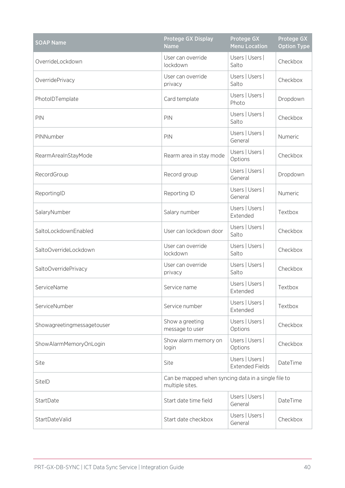| <b>SOAP Name</b>           | <b>Protege GX Display</b><br><b>Name</b>                               | Protege GX<br><b>Menu Location</b>        | <b>Protege GX</b><br><b>Option Type</b> |
|----------------------------|------------------------------------------------------------------------|-------------------------------------------|-----------------------------------------|
| OverrideLockdown           | User can override<br>lockdown                                          | Users   Users  <br>Salto                  | Checkbox                                |
| OverridePrivacy            | User can override<br>privacy                                           | Users   Users  <br>Salto                  | Checkbox                                |
| PhotoIDTemplate            | Card template                                                          | Users   Users  <br>Photo                  | Dropdown                                |
| PIN                        | PIN                                                                    | Users   Users  <br>Salto                  | Checkbox                                |
| PINNumber                  | PIN                                                                    | Users   Users  <br>General                | Numeric                                 |
| RearmAreaInStayMode        | Rearm area in stay mode                                                | Users   Users  <br>Options                | Checkbox                                |
| RecordGroup                | Record group                                                           | Users   Users  <br>General                | Dropdown                                |
| ReportingID                | Reporting ID                                                           | Users   Users  <br>General                | Numeric                                 |
| SalaryNumber               | Salary number                                                          | Users   Users  <br>Extended               | Textbox                                 |
| SaltoLockdownEnabled       | User can lockdown door                                                 | Users   Users  <br>Salto                  | Checkbox                                |
| SaltoOverrideLockdown      | User can override<br>lockdown                                          | Users   Users  <br>Salto                  | Checkbox                                |
| SaltoOverridePrivacy       | User can override<br>privacy                                           | Users   Users  <br>Salto                  | Checkbox                                |
| ServiceName                | Service name                                                           | Users   Users  <br>Extended               | Textbox                                 |
| ServiceNumber              | Service number                                                         | Users   Users  <br>Extended               | Textbox                                 |
| Showagreetingmessagetouser | Show a greeting<br>message to user                                     | Users   Users  <br>Options                | Checkbox                                |
| ShowAlarmMemoryOnLogin     | Show alarm memory on<br>login                                          | Users   Users  <br>Options                | Checkbox                                |
| Site                       | Site                                                                   | Users   Users  <br><b>Extended Fields</b> | DateTime                                |
| SitelD                     | Can be mapped when syncing data in a single file to<br>multiple sites. |                                           |                                         |
| StartDate                  | Start date time field                                                  | Users   Users  <br>General                | DateTime                                |
| StartDateValid             | Start date checkbox                                                    | Users   Users  <br>General                | Checkbox                                |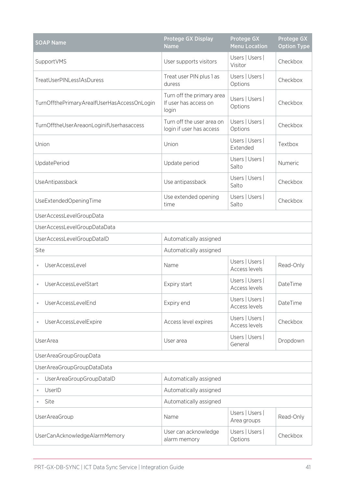| <b>SOAP Name</b>                               | <b>Protege GX Display</b><br><b>Name</b>                    | <b>Protege GX</b><br><b>Menu Location</b> | <b>Protege GX</b><br><b>Option Type</b> |
|------------------------------------------------|-------------------------------------------------------------|-------------------------------------------|-----------------------------------------|
| SupportVMS                                     | User supports visitors                                      | Users   Users  <br>Visitor                | Checkbox                                |
| TreatUserPINLess1AsDuress                      | Treat user PIN plus 1 as<br>duress                          | Users   Users  <br>Options                | Checkbox                                |
| TurnOffthePrimaryArealfUserHasAccessOnLogin    | Turn off the primary area<br>If user has access on<br>login | Users   Users  <br>Options                | Checkbox                                |
| TurnOfftheUserAreaonLoginifUserhasaccess       | Turn off the user area on<br>login if user has access       | Users   Users  <br>Options                | Checkbox                                |
| Union                                          | Union                                                       | Users   Users  <br>Extended               | Textbox                                 |
| UpdatePeriod                                   | Update period                                               | Users   Users  <br>Salto                  | Numeric                                 |
| UseAntipassback                                | Use antipassback                                            | Users   Users  <br>Salto                  | Checkbox                                |
| UseExtendedOpeningTime                         | Use extended opening<br>time                                | Users   Users  <br>Salto                  | Checkbox                                |
| UserAccessLevelGroupData                       |                                                             |                                           |                                         |
| UserAccessLevelGroupDataData                   |                                                             |                                           |                                         |
| UserAccessLevelGroupDataID                     | Automatically assigned                                      |                                           |                                         |
| Site                                           | Automatically assigned                                      |                                           |                                         |
| UserAccessLevel                                | Name                                                        | Users   Users  <br>Access levels          | Read-Only                               |
| UserAccessLevelStart                           | Expiry start                                                | Users   Users  <br>Access levels          | DateTime                                |
| UserAccessLevelEnd                             | Expiry end                                                  | Users   Users  <br>Access levels          | DateTime                                |
| UserAccessLevelExpire<br>$\qquad \qquad \circ$ | Access level expires                                        | Users   Users  <br>Access levels          | Checkbox                                |
| UserArea                                       | User area                                                   | Users   Users  <br>General                | Dropdown                                |
| UserAreaGroupGroupData                         |                                                             |                                           |                                         |
| UserAreaGroupGroupDataData                     |                                                             |                                           |                                         |
| UserAreaGroupGroupDataID<br>$\bullet$          | Automatically assigned                                      |                                           |                                         |
| UserID<br>$\bullet$                            | Automatically assigned                                      |                                           |                                         |
| Site                                           | Automatically assigned                                      |                                           |                                         |
| UserAreaGroup                                  | Name                                                        | Users   Users  <br>Area groups            | Read-Only                               |
| UserCanAcknowledgeAlarmMemory                  | User can acknowledge<br>alarm memory                        | Users   Users  <br>Options                | Checkbox                                |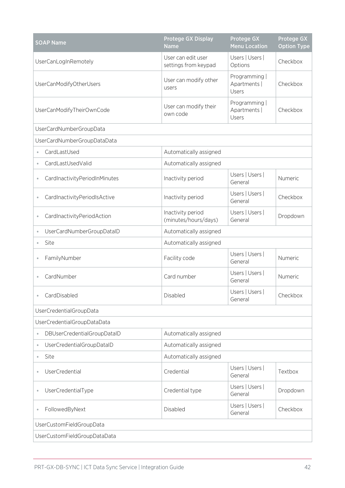| <b>SOAP Name</b>                          | <b>Protege GX Display</b><br><b>Name</b>   | Protege GX<br><b>Menu Location</b>     | <b>Protege GX</b><br><b>Option Type</b> |
|-------------------------------------------|--------------------------------------------|----------------------------------------|-----------------------------------------|
| UserCanLogInRemotely                      | User can edit user<br>settings from keypad | Users   Users  <br>Options             | Checkbox                                |
| UserCanModifyOtherUsers                   | User can modify other<br>users             | Programming  <br>Apartments  <br>Users | Checkbox                                |
| UserCanModifyTheirOwnCode                 | User can modify their<br>own code          | Programming  <br>Apartments  <br>Users | Checkbox                                |
| UserCardNumberGroupData                   |                                            |                                        |                                         |
| UserCardNumberGroupDataData               |                                            |                                        |                                         |
| CardLastUsed<br>$\bullet$                 | Automatically assigned                     |                                        |                                         |
| CardLastUsedValid<br>$\bullet$            | Automatically assigned                     |                                        |                                         |
| CardInactivityPeriodInMinutes<br>$\oplus$ | Inactivity period                          | Users   Users  <br>General             | Numeric                                 |
| CardInactivityPeriodIsActive<br>$\oplus$  | Inactivity period                          | Users   Users  <br>General             | Checkbox                                |
| CardInactivityPeriodAction                | Inactivity period<br>(minutes/hours/days)  | Users   Users  <br>General             | Dropdown                                |
| UserCardNumberGroupDataID<br>$\oplus$     | Automatically assigned                     |                                        |                                         |
| Site<br>$\bullet$                         | Automatically assigned                     |                                        |                                         |
| FamilyNumber                              | Facility code                              | Users   Users  <br>General             | Numeric                                 |
| CardNumber                                | Card number                                | Users   Users  <br>General             | Numeric                                 |
| CardDisabled                              | Disabled                                   | Users   Users  <br>General             | Checkbox                                |
| UserCredentialGroupData                   |                                            |                                        |                                         |
| UserCredentialGroupDataData               |                                            |                                        |                                         |
| DBUserCredentialGroupDatalD<br>$\oplus$   | Automatically assigned                     |                                        |                                         |
| UserCredentialGroupDatalD<br>$\oplus$     | Automatically assigned                     |                                        |                                         |
| Site<br>$\oplus$                          | Automatically assigned                     |                                        |                                         |
| <b>UserCredential</b><br>$\oplus$         | Credential                                 | Users   Users  <br>General             | Textbox                                 |
| UserCredentialType<br>$\circ$             | Credential type                            | Users   Users  <br>General             | Dropdown                                |
| FollowedByNext<br>$\qquad \qquad \circ$   | Disabled                                   | Users   Users  <br>General             | Checkbox                                |
| UserCustomFieldGroupData                  |                                            |                                        |                                         |
| UserCustomFieldGroupDataData              |                                            |                                        |                                         |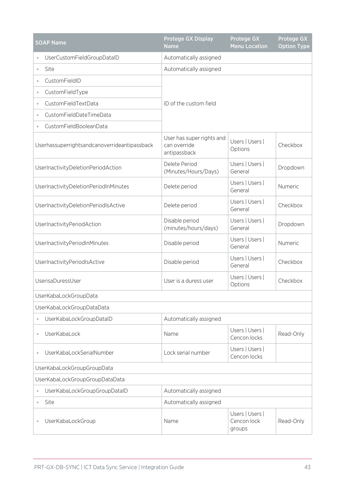| <b>SOAP Name</b>                             | <b>Protege GX Display</b><br><b>Name</b>                  | <b>Protege GX</b><br><b>Menu Location</b> | <b>Protege GX</b><br><b>Option Type</b> |
|----------------------------------------------|-----------------------------------------------------------|-------------------------------------------|-----------------------------------------|
| UserCustomFieldGroupDataID                   | Automatically assigned                                    |                                           |                                         |
| Site<br>$\bullet$                            | Automatically assigned                                    |                                           |                                         |
| CustomFieldID<br>$\oplus$                    |                                                           |                                           |                                         |
| CustomFieldType<br>$\bullet$                 |                                                           |                                           |                                         |
| CustomFieldTextData<br>$\bullet$             | ID of the custom field                                    |                                           |                                         |
| CustomFieldDateTimeData<br>$\circ$           |                                                           |                                           |                                         |
| CustomFieldBooleanData<br>$\circ$            |                                                           |                                           |                                         |
| Userhassuperrightsandcanoverrideantipassback | User has super rights and<br>can override<br>antipassback | Users   Users  <br>Options                | Checkbox                                |
| UserInactivityDeletionPeriodAction           | Delete Period<br>(Minutes/Hours/Days)                     | Users   Users  <br>General                | Dropdown                                |
| UserInactivityDeletionPeriodInMinutes        | Delete period                                             | Users   Users  <br>General                | Numeric                                 |
| UserInactivityDeletionPeriodIsActive         | Delete period                                             | Users   Users  <br>General                | Checkbox                                |
| UserInactivityPeriodAction                   | Disable period<br>(minutes/hours/days)                    | Users   Users  <br>General                | Dropdown                                |
| UserInactivityPeriodInMinutes                | Disable period                                            | Users   Users  <br>General                | Numeric                                 |
| UserInactivityPeriodIsActive                 | Disable period                                            | Users   Users  <br>General                | Checkbox                                |
| UserisaDuressUser                            | User is a duress user                                     | Users   Users  <br>Options                | Checkbox                                |
| UserKabaLockGroupData                        |                                                           |                                           |                                         |
| UserKabaLockGroupDataData                    |                                                           |                                           |                                         |
| UserKabaLockGroupDataID<br>$\bullet$         | Automatically assigned                                    |                                           |                                         |
| UserKabaLock<br>$\oplus$                     | Name                                                      | Users   Users  <br>Cencon locks           | Read-Only                               |
| UserKabaLockSerialNumber<br>$\oplus$         | Lock serial number                                        | Users   Users  <br>Cencon locks           |                                         |
| UserKabaLockGroupGroupData                   |                                                           |                                           |                                         |
| UserKabaLockGroupGroupDataData               |                                                           |                                           |                                         |
| UserKabaLockGroupGroupDataID<br>$\oplus$     | Automatically assigned                                    |                                           |                                         |
| Site<br>$\circ$                              | Automatically assigned                                    |                                           |                                         |
| UserKabaLockGroup                            | Name                                                      | Users   Users  <br>Cencon lock<br>groups  | Read-Only                               |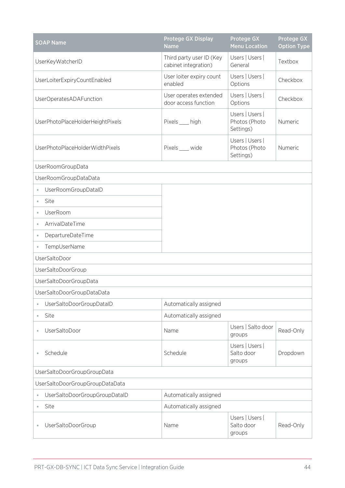| <b>SOAP Name</b>                          | Protege GX Display<br><b>Name</b>                | <b>Protege GX</b><br><b>Menu Location</b>     | <b>Protege GX</b><br><b>Option Type</b> |
|-------------------------------------------|--------------------------------------------------|-----------------------------------------------|-----------------------------------------|
| UserKeyWatcherID                          | Third party user ID (Key<br>cabinet integration) | Users   Users  <br>General                    | Textbox                                 |
| UserLoiterExpiryCountEnabled              | User loiter expiry count<br>enabled              | Users   Users  <br>Options                    | Checkbox                                |
| UserOperatesADAFunction                   | User operates extended<br>door access function   | Users   Users  <br>Options                    | Checkbox                                |
| UserPhotoPlaceHolderHeightPixels          | Pixels __ high                                   | Users   Users  <br>Photos (Photo<br>Settings) | Numeric                                 |
| UserPhotoPlaceHolderWidthPixels           | Pixels __ wide                                   | Users   Users  <br>Photos (Photo<br>Settings) | Numeric                                 |
| UserRoomGroupData                         |                                                  |                                               |                                         |
| UserRoomGroupDataData                     |                                                  |                                               |                                         |
| UserRoomGroupDataID<br>$\bullet$          |                                                  |                                               |                                         |
| Site<br>$\bullet$                         |                                                  |                                               |                                         |
| UserRoom<br>$\bullet$                     |                                                  |                                               |                                         |
| ArrivalDateTime<br>$\oplus$               |                                                  |                                               |                                         |
| DepartureDateTime<br>$\bullet$            |                                                  |                                               |                                         |
| TempUserName<br>$\oplus$                  |                                                  |                                               |                                         |
| UserSaltoDoor                             |                                                  |                                               |                                         |
| UserSaltoDoorGroup                        |                                                  |                                               |                                         |
| UserSaltoDoorGroupData                    |                                                  |                                               |                                         |
| UserSaltoDoorGroupDataData                |                                                  |                                               |                                         |
| UserSaltoDoorGroupDataID<br>$\bullet$     | Automatically assigned                           |                                               |                                         |
| Site<br>$\circ$                           | Automatically assigned                           |                                               |                                         |
| UserSaltoDoor<br>$\oplus$                 | Name                                             | Users   Salto door<br>groups                  | Read-Only                               |
| Schedule<br>$\qquad \qquad \circ$         | Schedule                                         | Users   Users  <br>Salto door<br>groups       | Dropdown                                |
| UserSaltoDoorGroupGroupData               |                                                  |                                               |                                         |
| UserSaltoDoorGroupGroupDataData           |                                                  |                                               |                                         |
| UserSaltoDoorGroupGroupDataID<br>$\oplus$ | Automatically assigned                           |                                               |                                         |
| Site<br>$\bullet$                         | Automatically assigned                           |                                               |                                         |
| UserSaltoDoorGroup<br>$\circ$             | Name                                             | Users   Users  <br>Salto door<br>groups       | Read-Only                               |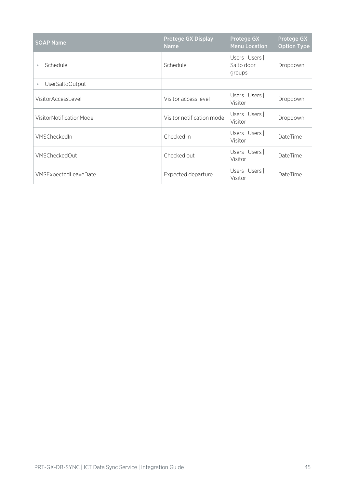| <b>SOAP Name</b>           | <b>Protege GX Display</b><br><b>Name</b> | <b>Protege GX</b><br><b>Menu Location</b> | Protege GX<br><b>Option Type</b> |
|----------------------------|------------------------------------------|-------------------------------------------|----------------------------------|
| Schedule<br>$\bullet$      | Schedule                                 | Users   Users  <br>Salto door<br>groups   | Dropdown                         |
| UserSaltoOutput<br>$\circ$ |                                          |                                           |                                  |
| VisitorAccessLevel         | Visitor access level                     | Users   Users  <br>Visitor                | Dropdown                         |
| VisitorNotificationMode    | Visitor notification mode                | Users   Users  <br>Visitor                | Dropdown                         |
| VMSCheckedIn               | Checked in                               | Users   Users  <br>Visitor                | DateTime                         |
| <b>VMSCheckedOut</b>       | Checked out                              | Users   Users  <br>Visitor                | DateTime                         |
| VMSExpectedLeaveDate       | Expected departure                       | Users   Users  <br>Visitor                | DateTime                         |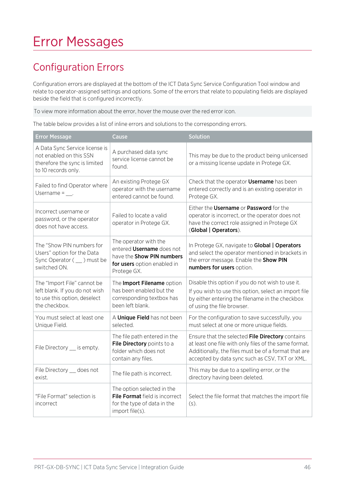# <span id="page-45-0"></span>Error Messages

## <span id="page-45-1"></span>Configuration Errors

Configuration errors are displayed at the bottom of the ICT Data Sync Service Configuration Tool window and relate to operator-assigned settings and options. Some of the errors that relate to populating fields are displayed beside the field that is configured incorrectly.

To view more information about the error, hover the mouse over the red error icon.

The table below provides a list of inline errors and solutions to the corresponding errors.

| <b>Error Message</b>                                                                                              | Cause                                                                                                                                | Solution                                                                                                                                                                                                            |
|-------------------------------------------------------------------------------------------------------------------|--------------------------------------------------------------------------------------------------------------------------------------|---------------------------------------------------------------------------------------------------------------------------------------------------------------------------------------------------------------------|
| A Data Sync Service license is<br>not enabled on this SSN<br>therefore the sync is limited<br>to 10 records only. | A purchased data sync<br>service license cannot be<br>found.                                                                         | This may be due to the product being unlicensed<br>or a missing license update in Protege GX.                                                                                                                       |
| Failed to find Operator where<br>Username = $\blacksquare$                                                        | An existing Protege GX<br>operator with the username<br>entered cannot be found.                                                     | Check that the operator <b>Username</b> has been<br>entered correctly and is an existing operator in<br>Protege GX.                                                                                                 |
| Incorrect username or<br>password, or the operator<br>does not have access.                                       | Failed to locate a valid<br>operator in Protege GX.                                                                                  | Either the Username or Password for the<br>operator is incorrect, or the operator does not<br>have the correct role assigned in Protege GX<br>(Global   Operators).                                                 |
| The "Show PIN numbers for<br>Users" option for the Data<br>Sync Operator ( __ ) must be<br>switched ON.           | The operator with the<br>entered <b>Username</b> does not<br>have the Show PIN numbers<br>for users option enabled in<br>Protege GX. | In Protege GX, navigate to Global   Operators<br>and select the operator mentioned in brackets in<br>the error message. Enable the Show PIN<br>numbers for users option.                                            |
| The "Import File" cannot be<br>left blank. If you do not wish<br>to use this option, deselect<br>the checkbox.    | The Import Filename option<br>has been enabled but the<br>corresponding textbox has<br>been left blank.                              | Disable this option if you do not wish to use it.<br>If you wish to use this option, select an import file<br>by either entering the filename in the checkbox<br>of using the file browser.                         |
| You must select at least one<br>Unique Field.                                                                     | A Unique Field has not been<br>selected.                                                                                             | For the configuration to save successfully, you<br>must select at one or more unique fields.                                                                                                                        |
| File Directory __ is empty.                                                                                       | The file path entered in the<br>File Directory points to a<br>folder which does not<br>contain any files.                            | Ensure that the selected File Directory contains<br>at least one file with only files of the same format.<br>Additionally, the files must be of a format that are<br>accepted by data sync such as CSV, TXT or XML. |
| File Directory __ does not<br>exist.                                                                              | The file path is incorrect.                                                                                                          | This may be due to a spelling error, or the<br>directory having been deleted.                                                                                                                                       |
| "File Format" selection is<br>incorrect                                                                           | The option selected in the<br>File Format field is incorrect<br>for the type of data in the<br>import file(s).                       | Select the file format that matches the import file<br>$(s)$ .                                                                                                                                                      |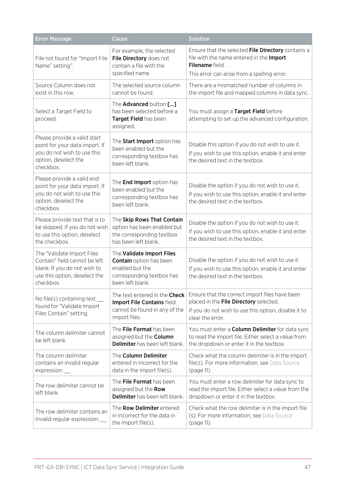| <b>Error Message</b>                                                                                                                      | Cause                                                                                                                           | <b>Solution</b>                                                                                                                                                      |
|-------------------------------------------------------------------------------------------------------------------------------------------|---------------------------------------------------------------------------------------------------------------------------------|----------------------------------------------------------------------------------------------------------------------------------------------------------------------|
| File not found for "Import File<br>Name" setting".                                                                                        | For example, the selected<br>File Directory does not<br>contain a file with the<br>specified name.                              | Ensure that the selected File Directory contains a<br>file with the name entered in the Import<br>Filename field.<br>This error can arise from a spelling error.     |
| Source Column does not<br>exist in this row.                                                                                              | The selected source column<br>cannot be found.                                                                                  | There are a mismatched number of columns in<br>the import file and mapped columns in data sync.                                                                      |
| Select a Target Field to<br>proceed.                                                                                                      | The Advanced button []<br>has been selected before a<br>Target Field has been<br>assigned.                                      | You must assign a Target Field before<br>attempting to set up the advanced configuration.                                                                            |
| Please provide a valid start<br>point for your data import. If<br>you do not wish to use this<br>option, deselect the<br>checkbox.        | The Start Import option has<br>been enabled but the<br>corresponding textbox has<br>been left blank.                            | Disable this option if you do not wish to use it.<br>If you wish to use this option, enable it and enter<br>the desired text in the textbox.                         |
| Please provide a valid end<br>point for your data import. If<br>you do not wish to use this<br>option, deselect the<br>checkbox.          | The <b>End Import</b> option has<br>been enabled but the<br>corresponding textbox has<br>been left blank.                       | Disable the option if you do not wish to use it.<br>If you wish to use this option, enable it and enter<br>the desired text in the textbox.                          |
| Please provide text that is to<br>be skipped. If you do not wish<br>to use this option, deselect<br>the checkbox.                         | The Skip Rows That Contain<br>option has been enabled but<br>the corresponding textbox<br>has been left blank.                  | Disable the option if you do not wish to use it.<br>If you wish to use this option, enable it and enter<br>the desired text in the textbox.                          |
| The "Validate Import Files<br>Contain" field cannot be left<br>blank. If you do not wish to<br>use this option, deselect the<br>checkbox. | The Validate Import Files<br><b>Contain</b> option has been<br>enabled but the<br>corresponding textbox has<br>been left blank. | Disable the option if you do not wish to use it.<br>If you wish to use this option, enable it and enter<br>the desired text in the textbox.                          |
| No file(s) containing text __<br>found for "Validate Import<br>Files Contain" setting.                                                    | The text entered in the Check<br>Import File Contains field<br>cannot be found in any of the<br>import files.                   | Ensure that the correct import files have been<br>placed in the File Directory selected.<br>If you do not wish to use this option, disable it to<br>clear the error. |
| The column delimiter cannot<br>be left blank                                                                                              | The File Format has been<br>assigned but the Column<br>Delimiter has been left blank.                                           | You must enter a <b>Column Delimiter</b> for data sync<br>to read the import file. Either select a value from<br>the dropdown or enter it in the textbox.            |
| The column delimiter<br>contains an invalid regular<br>expression: __                                                                     | The Column Delimiter<br>entered in incorrect for the<br>data in the import file(s).                                             | Check what the column delimiter is in the import<br>file(s). For more information, see Data Source<br>(page 11).                                                     |
| The row delimiter cannot be<br>left blank.                                                                                                | The File Format has been<br>assigned but the Row<br>Delimiter has been left blank.                                              | You must enter a row delimiter for data sync to<br>read the import file. Either select a value from the<br>dropdown or enter it in the textbox.                      |
| The row delimiter contains an<br>invalid regular expression:                                                                              | The Row Delimiter entered<br>in incorrect for the data in<br>the import file(s).                                                | Check what the row delimiter is in the import file<br>(s). For more information, see Data Source<br>(page 11).                                                       |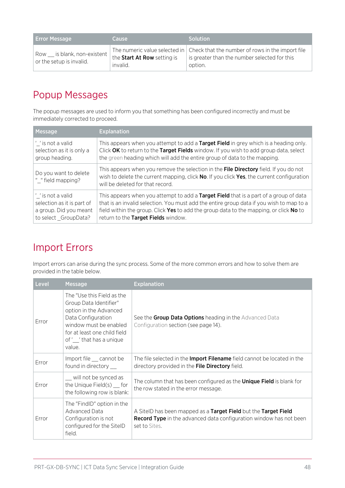| <b>Error Message</b>                                                                          | Cause                                   | <b>Solution</b>                                                                                                                           |
|-----------------------------------------------------------------------------------------------|-----------------------------------------|-------------------------------------------------------------------------------------------------------------------------------------------|
| Row is blank, non-existent $\begin{bmatrix} 1 \\ 1 \end{bmatrix}$<br>or the setup is invalid. | the Start At Row setting is<br>invalid. | The numeric value selected in Check that the number of rows in the import file<br>is greater than the number selected for this<br>option. |

## <span id="page-47-0"></span>Popup Messages

The popup messages are used to inform you that something has been configured incorrectly and must be immediately corrected to proceed.

| Message                                    | <b>Explanation</b>                                                                                                                                                                                                     |
|--------------------------------------------|------------------------------------------------------------------------------------------------------------------------------------------------------------------------------------------------------------------------|
| $^{\prime}$ is not a valid                 | This appears when you attempt to add a Target Field in grey which is a heading only.                                                                                                                                   |
| selection as it is only a                  | Click OK to return to the Target Fields window. If you wish to add group data, select                                                                                                                                  |
| group heading.                             | the green heading which will add the entire group of data to the mapping.                                                                                                                                              |
| Do you want to delete<br>" "field mapping? | This appears when you remove the selection in the File Directory field. If you do not<br>wish to delete the current mapping, click No. If you click Yes, the current configuration<br>will be deleted for that record. |
| '_' is not a valid                         | This appears when you attempt to add a Target Field that is a part of a group of data                                                                                                                                  |
| selection as it is part of                 | that is an invalid selection. You must add the entire group data if you wish to map to a                                                                                                                               |
| a group. Did you meant                     | field within the group. Click Yes to add the group data to the mapping, or click No to                                                                                                                                 |
| to select GroupData?                       | return to the Target Fields window.                                                                                                                                                                                    |

## <span id="page-47-1"></span>Import Errors

Import errors can arise during the sync process. Some of the more common errors and how to solve them are provided in the table below.

| Level | <b>Message</b>                                                                                                                                                                                     | <b>Explanation</b>                                                                                                                                            |
|-------|----------------------------------------------------------------------------------------------------------------------------------------------------------------------------------------------------|---------------------------------------------------------------------------------------------------------------------------------------------------------------|
| Error | The "Use this Field as the<br>Group Data Identifier"<br>option in the Advanced<br>Data Configuration<br>window must be enabled<br>for at least one child field<br>of' 'that has a unique<br>value. | See the Group Data Options heading in the Advanced Data<br>Configuration section (see page 14).                                                               |
| Error | Import file __ cannot be<br>found in directory                                                                                                                                                     | The file selected in the <b>Import Filename</b> field cannot be located in the<br>directory provided in the File Directory field.                             |
| Error | _ will not be synced as<br>the Unique Field(s) for<br>the following row is blank:                                                                                                                  | The column that has been configured as the <b>Unique Field</b> is blank for<br>the row stated in the error message.                                           |
| Error | The "FindID" option in the<br>Advanced Data<br>Configuration is not<br>configured for the SitelD<br>field.                                                                                         | A SitelD has been mapped as a Target Field but the Target Field<br><b>Record Type</b> in the advanced data configuration window has not been<br>set to Sites. |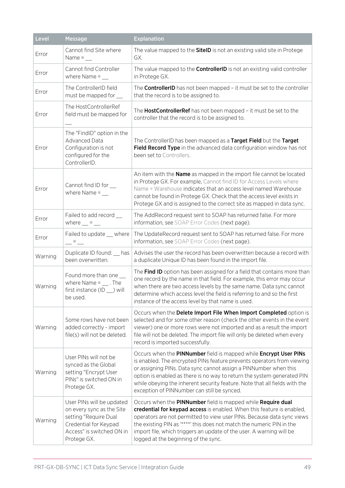| Level   | <b>Message</b>                                                                                                                                       | <b>Explanation</b>                                                                                                                                                                                                                                                                                                                                                                                                      |
|---------|------------------------------------------------------------------------------------------------------------------------------------------------------|-------------------------------------------------------------------------------------------------------------------------------------------------------------------------------------------------------------------------------------------------------------------------------------------------------------------------------------------------------------------------------------------------------------------------|
| Error   | Cannot find Site where<br>Name = $\_\_$                                                                                                              | The value mapped to the <b>SitelD</b> is not an existing valid site in Protege<br>GX.                                                                                                                                                                                                                                                                                                                                   |
| Error   | Cannot find Controller<br>where Name $=$ __                                                                                                          | The value mapped to the <b>ControllerID</b> is not an existing valid controller<br>in Protege GX.                                                                                                                                                                                                                                                                                                                       |
| Error   | The ControllerID field<br>must be mapped for                                                                                                         | The <b>ControllerID</b> has not been mapped - it must be set to the controller<br>that the record is to be assigned to.                                                                                                                                                                                                                                                                                                 |
| Error   | The HostControllerRef<br>field must be mapped for                                                                                                    | The HostControllerRef has not been mapped - it must be set to the<br>controller that the record is to be assigned to.                                                                                                                                                                                                                                                                                                   |
| Error   | The "FindID" option in the<br>Advanced Data<br>Configuration is not<br>configured for the<br>ControllerID.                                           | The ControllerID has been mapped as a Target Field but the Target<br>Field Record Type in the advanced data configuration window has not<br>been set to Controllers.                                                                                                                                                                                                                                                    |
| Error   | Cannot find ID for<br>where Name $=$                                                                                                                 | An item with the <b>Name</b> as mapped in the import file cannot be located<br>in Protege GX. For example, Cannot find ID for Access Levels where<br>Name = Warehouse indicates that an access level named Warehouse<br>cannot be found in Protege GX. Check that the access level exists in<br>Protege GX and is assigned to the correct site as mapped in data sync.                                                  |
| Error   | Failed to add record __<br>where $\_\$ = $\_\_$                                                                                                      | The AddRecord request sent to SOAP has returned false. For more<br>information, see SOAP Error Codes (next page).                                                                                                                                                                                                                                                                                                       |
| Error   | Failed to update __ where<br>$ =$ $-$                                                                                                                | The UpdateRecord request sent to SOAP has returned false. For more<br>information, see SOAP Error Codes (next page).                                                                                                                                                                                                                                                                                                    |
| Warning | Duplicate ID found: has<br>been overwritten.                                                                                                         | Advises the user the record has been overwritten because a record with<br>a duplicate Unique ID has been found in the import file.                                                                                                                                                                                                                                                                                      |
| Warning | Found more than one __<br>where Name = $\quad$ . The<br>first instance (ID _) will<br>be used.                                                       | The Find ID option has been assigned for a field that contains more than<br>one record by the name in that field. For example, this error may occur<br>when there are two access levels by the same name. Data sync cannot<br>determine which access level the field is referring to and so the first<br>instance of the access level by that name is used.                                                             |
| Warning | Some rows have not been<br>added correctly - import<br>file(s) will not be deleted.                                                                  | Occurs when the Delete Import File When Import Completed option is<br>selected and for some other reason (check the other events in the event<br>viewer) one or more rows were not imported and as a result the import<br>file will not be deleted. The import file will only be deleted when every<br>record is imported successfully.                                                                                 |
| Warning | User PINs will not be<br>synced as the Global<br>setting "Encrypt User<br>PINs" is switched ON in<br>Protege GX.                                     | Occurs when the PINNumber field is mapped while Encrypt User PINs<br>is enabled. The encrypted PINs feature prevents operators from viewing<br>or assigning PINs. Data sync cannot assign a PINNumber when this<br>option is enabled as there is no way to return the system generated PIN<br>while obeying the inherent security feature. Note that all fields with the<br>exception of PINNumber can still be synced. |
| Warning | User PINs will be updated<br>on every sync as the Site<br>setting "Require Dual<br>Credential for Keypad<br>Access" is switched ON in<br>Protege GX. | Occurs when the PINNumber field is mapped while Require dual<br>credential for keypad access is enabled. When this feature is enabled,<br>operators are not permitted to view user PINs. Because data sync views<br>the existing PIN as "****' this does not match the numeric PIN in the<br>import file, which triggers an update of the user. A warning will be<br>logged at the beginning of the sync.               |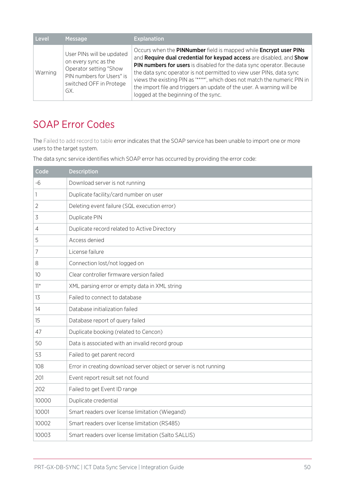| Level   | <b>Message</b>                                                                                                                             | <b>Explanation</b>                                                                                                                                                                                                                                                                                                                                                                                                                                                                       |
|---------|--------------------------------------------------------------------------------------------------------------------------------------------|------------------------------------------------------------------------------------------------------------------------------------------------------------------------------------------------------------------------------------------------------------------------------------------------------------------------------------------------------------------------------------------------------------------------------------------------------------------------------------------|
| Warning | User PINs will be updated<br>on every sync as the<br>Operator setting "Show<br>PIN numbers for Users" is<br>switched OFF in Protege<br>GX. | Occurs when the PINNumber field is mapped while Encrypt user PINs<br>and Require dual credential for keypad access are disabled, and Show<br>PIN numbers for users is disabled for the data sync operator. Because<br>the data sync operator is not permitted to view user PINs, data sync<br>views the existing PIN as "****', which does not match the numeric PIN in<br>the import file and triggers an update of the user. A warning will be<br>logged at the beginning of the sync. |

## <span id="page-49-0"></span>SOAP Error Codes

The Failed to add record to table error indicates that the SOAP service has been unable to import one or more users to the target system.

The data sync service identifies which SOAP error has occurred by providing the error code:

| Code            | <b>Description</b>                                                |
|-----------------|-------------------------------------------------------------------|
| $-6$            | Download server is not running                                    |
| 1               | Duplicate facility/card number on user                            |
| $\overline{2}$  | Deleting event failure (SQL execution error)                      |
| 3               | Duplicate PIN                                                     |
| 4               | Duplicate record related to Active Directory                      |
| 5               | Access denied                                                     |
| 7               | License failure                                                   |
| $\,8\,$         | Connection lost/not logged on                                     |
| 10 <sup>°</sup> | Clear controller firmware version failed                          |
| $11*$           | XML parsing error or empty data in XML string                     |
| 13              | Failed to connect to database                                     |
| 14              | Database initialization failed                                    |
| 15              | Database report of query failed                                   |
| 47              | Duplicate booking (related to Cencon)                             |
| 50              | Data is associated with an invalid record group                   |
| 53              | Failed to get parent record                                       |
| 108             | Error in creating download server object or server is not running |
| 201             | Event report result set not found                                 |
| 202             | Failed to get Event ID range                                      |
| 10000           | Duplicate credential                                              |
| 10001           | Smart readers over license limitation (Wiegand)                   |
| 10002           | Smart readers over license limitation (RS485)                     |
| 10003           | Smart readers over license limitation (Salto SALLIS)              |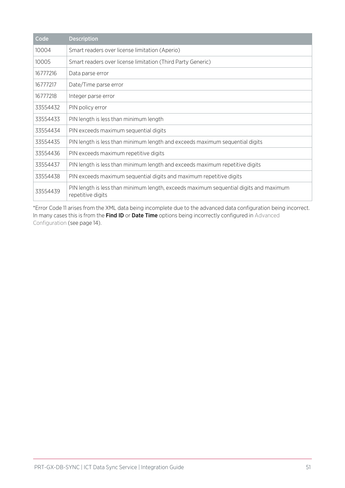| Code     | <b>Description</b>                                                                                         |
|----------|------------------------------------------------------------------------------------------------------------|
| 10004    | Smart readers over license limitation (Aperio)                                                             |
| 10005    | Smart readers over license limitation (Third Party Generic)                                                |
| 16777216 | Data parse error                                                                                           |
| 16777217 | Date/Time parse error                                                                                      |
| 16777218 | Integer parse error                                                                                        |
| 33554432 | PIN policy error                                                                                           |
| 33554433 | PIN length is less than minimum length                                                                     |
| 33554434 | PIN exceeds maximum sequential digits                                                                      |
| 33554435 | PIN length is less than minimum length and exceeds maximum sequential digits                               |
| 33554436 | PIN exceeds maximum repetitive digits                                                                      |
| 33554437 | PIN length is less than minimum length and exceeds maximum repetitive digits                               |
| 33554438 | PIN exceeds maximum sequential digits and maximum repetitive digits                                        |
| 33554439 | PIN length is less than minimum length, exceeds maximum sequential digits and maximum<br>repetitive digits |

\*Error Code 11 arises from the XML data being incomplete due to the advanced data configuration being incorrect. In many cases this is from the Find ID or Date Time options being incorrectly configured in Advanced Configuration (see [page 14\)](#page-13-2).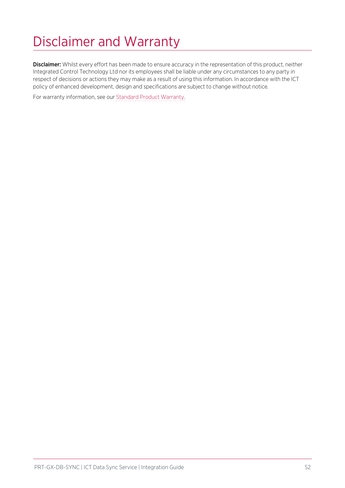# <span id="page-51-0"></span>Disclaimer and Warranty

Disclaimer: Whilst every effort has been made to ensure accuracy in the representation of this product, neither Integrated Control Technology Ltd nor its employees shall be liable under any circumstances to any party in respect of decisions or actions they may make as a result of using this information. In accordance with the ICT policy of enhanced development, design and specifications are subject to change without notice.

For warranty information, see our Standard Product [Warranty.](https://www.ict.co/Standard-Product-Warranty)